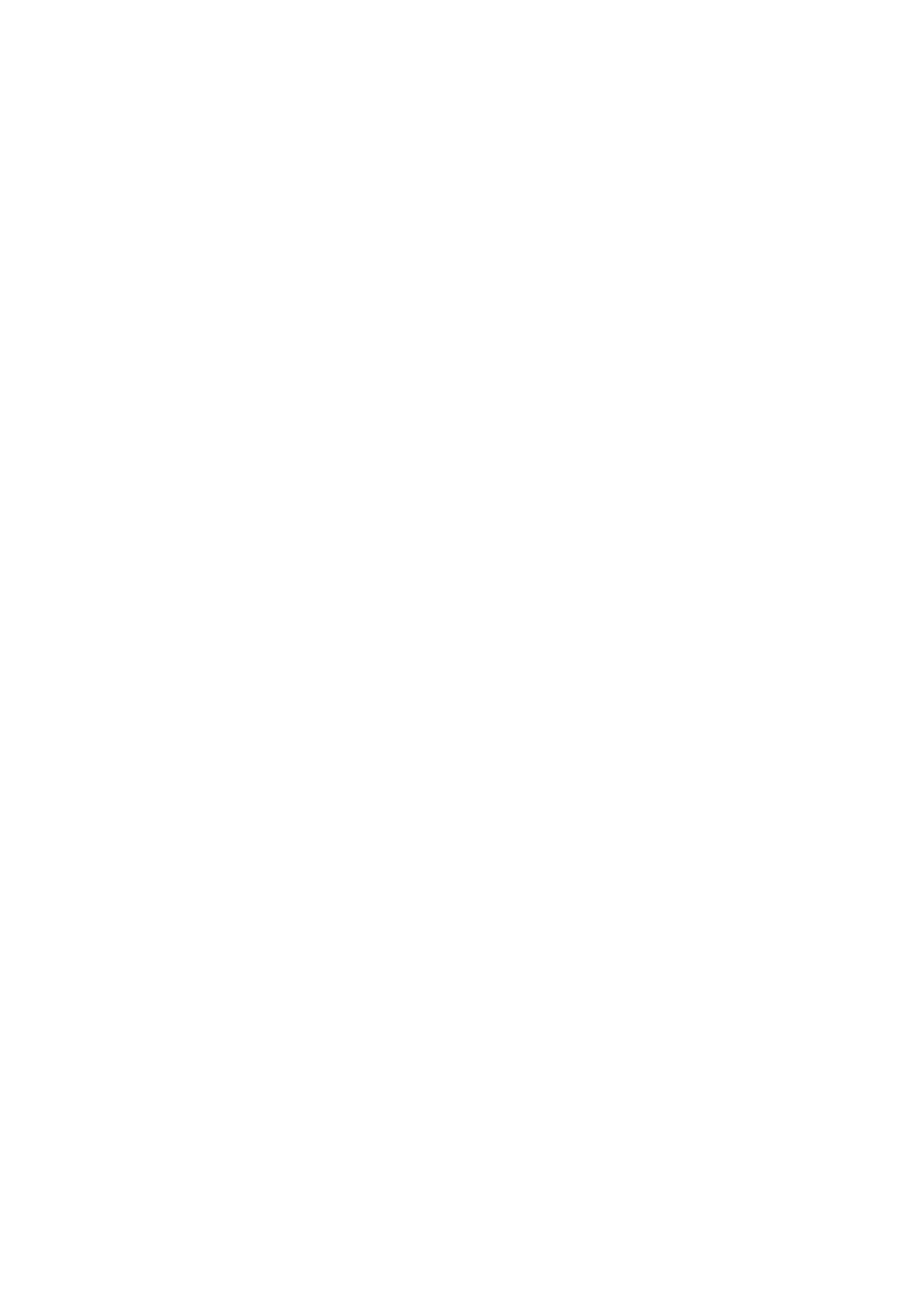# **UNIT 1 : DRAVIDIAN TRIBES**

#### **Structure**

- 1.0 Objectives
- 1.1 Introduction: the Dravidian tribes
- 1.2 The *Gonds* of Central India
	- 1.2.1 Religion
	- 1.2.2 Economy
	- 1.2.3 Sheltr
- 1.3 Society and culture
	- 1.3.1 Ghotul or the youth dormitory
	- 1.3.2 Marriage
	- 1.3.3 Death ritual
	- 1.3.4 Handicraft products
	- 1.3.5 Ornaments
- 1.4 Original myths of *Gond* tribe
- 1.5 Let us sum up
- 1.6 Activity
- 1.7 References and further reading
- 1.8 Glossary
- 1.9 Check your progress: possible answers

# **1.0 OBJECTIVES**

After having read this Unit you will be able to:

- learn about Dravidian tribes:
- discuss about the Ghotul or the youth dormitory and its importance in tribal life;
- know the names of certain tribes belonging to the Dravidian family; and
- describe the origin and myths of Gond tribe.

# **1.1 INTRODUCTION: THE DRAVIDIAN TRIBES**

Many scholars consider the Dravidians to be the oldest tribal group of India. They are found from Ceylon to the Valley of the Ganges and cover all South-Eastern regions of India, mostly Tamil Nadu, Andhra Pradesh, Central India, Orissa, and Bihar. The Dravidian tribal population is conterminous with the Ghats on the east and west of the peninsular area of India. Farther north, it reaches on one side to the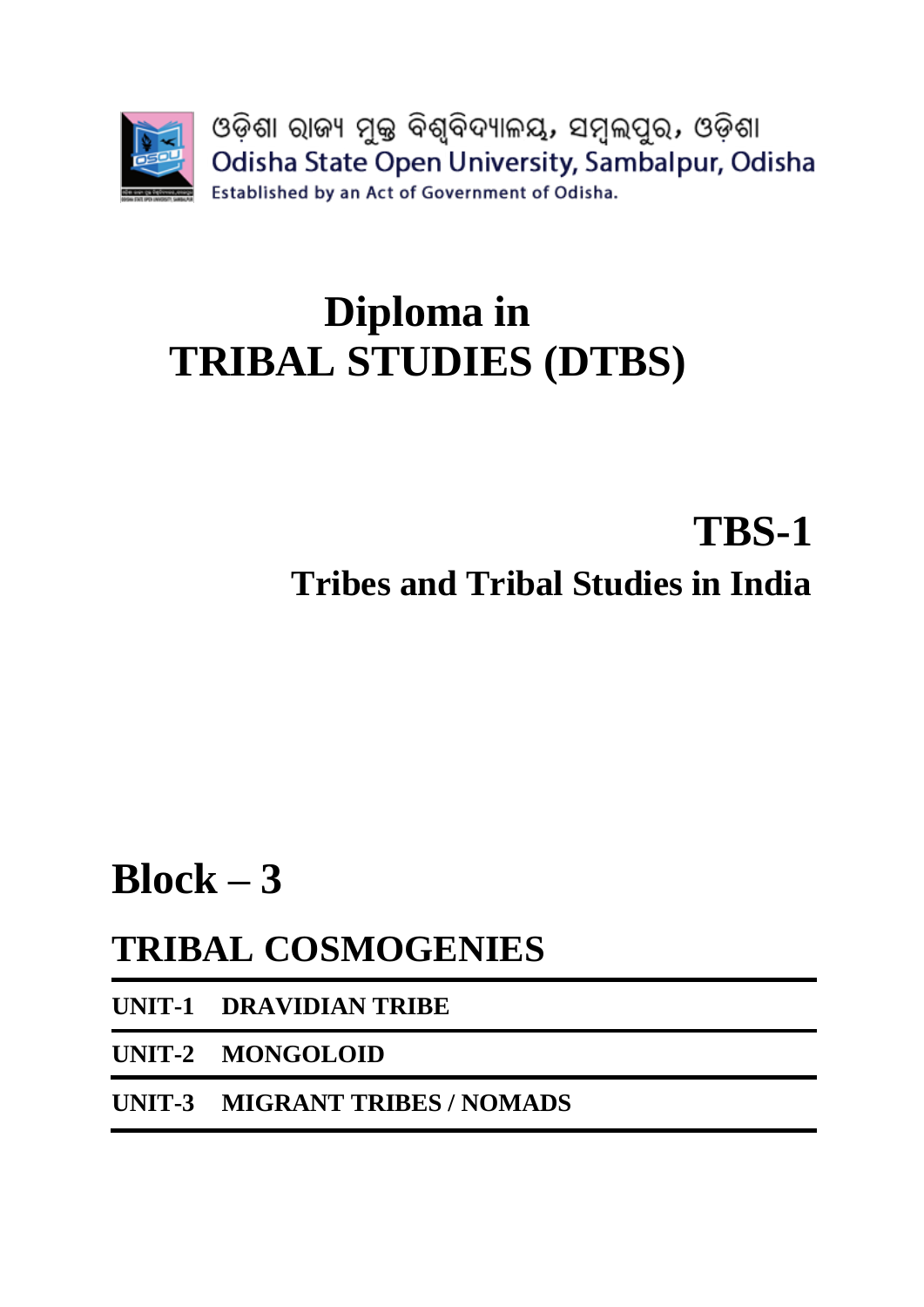Aravallis and on the other side to the Rajmahal hills. There are numerous Dravidian tribes of India. Here is a partial list: the Maria and Muria, Baiga, Mal Paharia or Male of the Santal Parganas, Oraon, the Badaga of the Nilgiris, the Munda, the Gond etc.

One the most important and dominant Dravidan tribe of India is the Gond. In the following unit, we are going to discuss ethnography, life style, occupation etc., and original myths of the Gonds of Central India.

# **1.2 THE GOND OF CENTRAL INDIA**

The Gond tribes form the largest single tribal group in India. The Gond tribe is composed of several tribes. Their homeland extends from the Satpura range down to the River Godavari, from Uttar Pradesh (Gond District) and North Bihar to Andhra Pradesh, and from Maharashtra to Orissa. They have lent their name to Gondwana, a historical region which gained prominence during the medieval period. The Gonds established their political power, founded states and exercised influenced far and wide. There are as many as four separate Gond kingdoms in the Gondwana region, mentioned in the medieval accounts. These four kingdoms include the Panna District in the north, Ratanpur in Bilaspur district in the east, the Raisen district of Madhya Pradesh in the west and areas of the Deccan in Maharashtra and Andhra Pradesh in the south.

According to the census of India 1961, the derivation of the name Gond is unknown. In fact, the Gonds call themselves Koitur or Koi. The name Gond was an appellation given to them by outsiders. According to some, the title of the Gonds, as of Khonds, is derived from the word "hill". Telugu speakers still refer to the Khonds as Gonds. Spread over seven contiguous states, the Gond population is largest in Madhya Pradesh. Their mother tongue is Gondi and it belongs to the Dravidian family of languages. However, now they are bilingual or even trilingual; they speak Gondi as well as Hindi and Marathi or Telugu depending upon their location.

The Gond tribe has an extremely rich tradition of folklore. During the rule of the Gond dynasties in Central India, the ruling class was the patron of the Pardhans group of bards, a sub-group of the Gond. The Pardhan played an important role as the custodians of Gond traditions and culture. With the fall of Gond kingdom, the relationship between the Gond and the Pradhan lost much of its importance, and was thereby reduced to a great extent.

#### **Check your progress 1**

Note: 1)Your answers should be around 30 words each;

 2) You may check your answers with the possible answers given at the end of this Unit.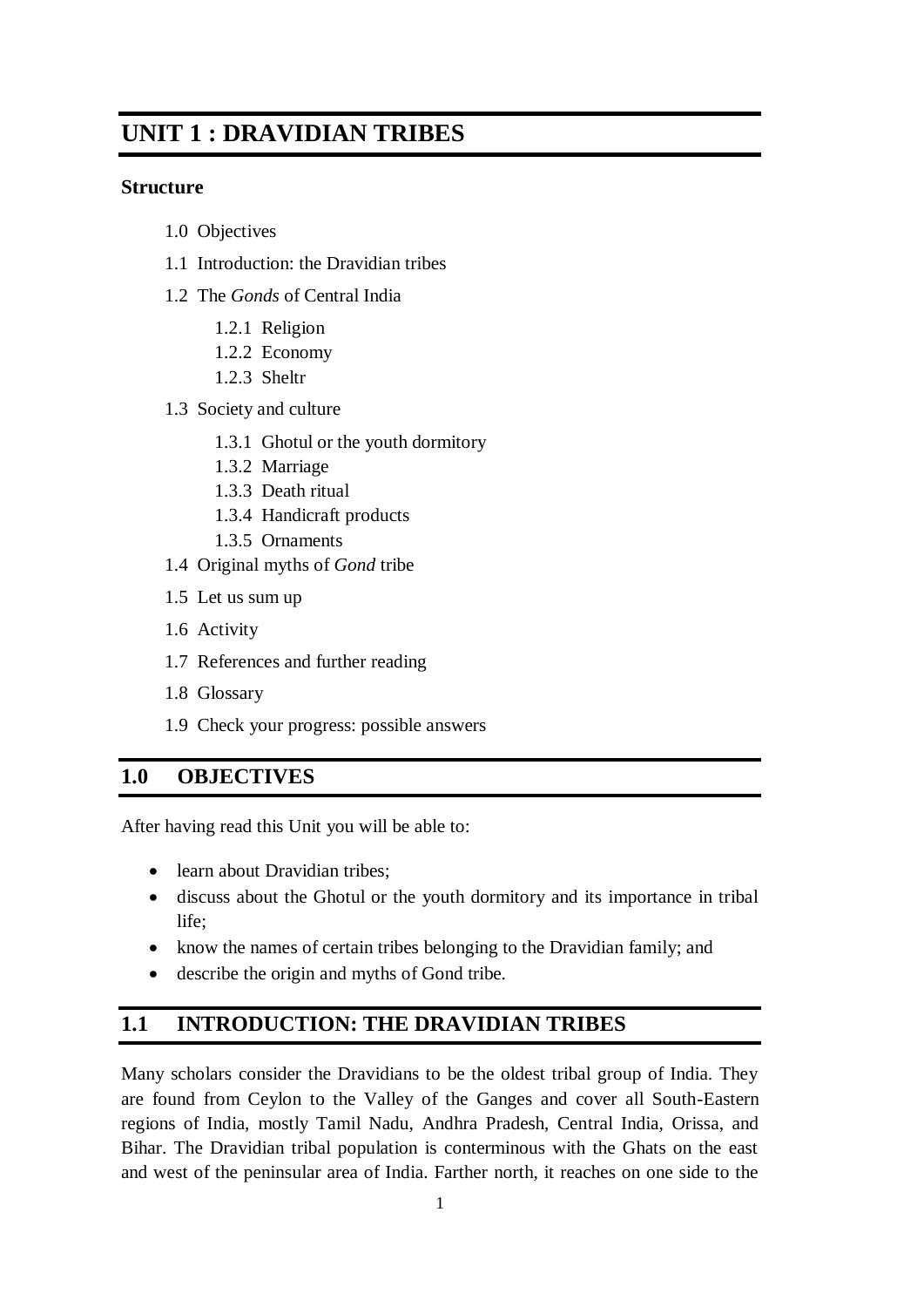1) Where do the Dravidian tribes of India reside apart from Central India?

## **1.2.1 Religion**

Many Gonds still follow the traditional tribal religions,which is known as the Persa pen cult. In Madhya Pradesh, the Gonds are mostly Hindu and there are also a small group of people of Christian religion. In the traditional Gond rituals, each clan believes in a god of its own, Persa pen or Baradeo is the supreme deity and the Gond believe that they are the children of Baradeo. Each clan has a separate shrine of Baradeo where they gather and offer prayer to their deceased ancestors. These rituals consist of the usage of three small sticks of bamboo, paddy, areca-nuts and a copper coin wrapped in a piece of new cloth. A priest performs a puja to unite the deceased person's soul with Baradeo and once the soul is united with Baradeo, it was His will whether the deceased person would be sent back to the earth or not, and in what form they would be sent back. Baradeo is generally worshiped during the month of Magh (between mid-January to mid-February). Besides Baradeo, the Gond worship several gods and goddess, namely Kalimata, Narayandeo, Marchimata, Dulhadeo, Dulhidevi, Baisasurdeo, Dudh guriakhut, Dulhariakhut, Chowra, Bajara, Banjaridevi etc. The Gonds give importance to ancestor worship.

### **1.2.2 Economy**

The basis of the Gond economy is agriculture, but they also practice animal husbandry. Though the traditional occupations of agriculture and animal husbandry have sustained their economy since time immemorial, these occupations have started facing mounting pressure due to the large scale immigration of people into their land. Currently, the Gonds of Central India are engaged in various economic operations simultaneously other than agriculture. Other than that, there are Gonds who are settled cultivators, forest laborers, agricultural laborers, wage laborers, workers engaged in mining and quarrying, skilled laborers and musicians. For the settled cultivators land and water are the main resources, which are controlled by individuals, but sometimes they cultivate in the forest lands, controlled by the Government. However, among the Gonds, the Raj Gonds are mainly a landowning community. Only men plough the land and women undertake agricultural operations which amount to almost seventy percent of the total agricultural activities. The Gond women are expert in the transplanting of paddy, besides which they have a role in animal husbandry, collection of fuel and potable water and other economic activities. The main crops of the Gonds are kado, kutki (millet), paddy, jowar, wheat, tur, urad, masur (all pluses) etc. They have direct links with the local market which is fully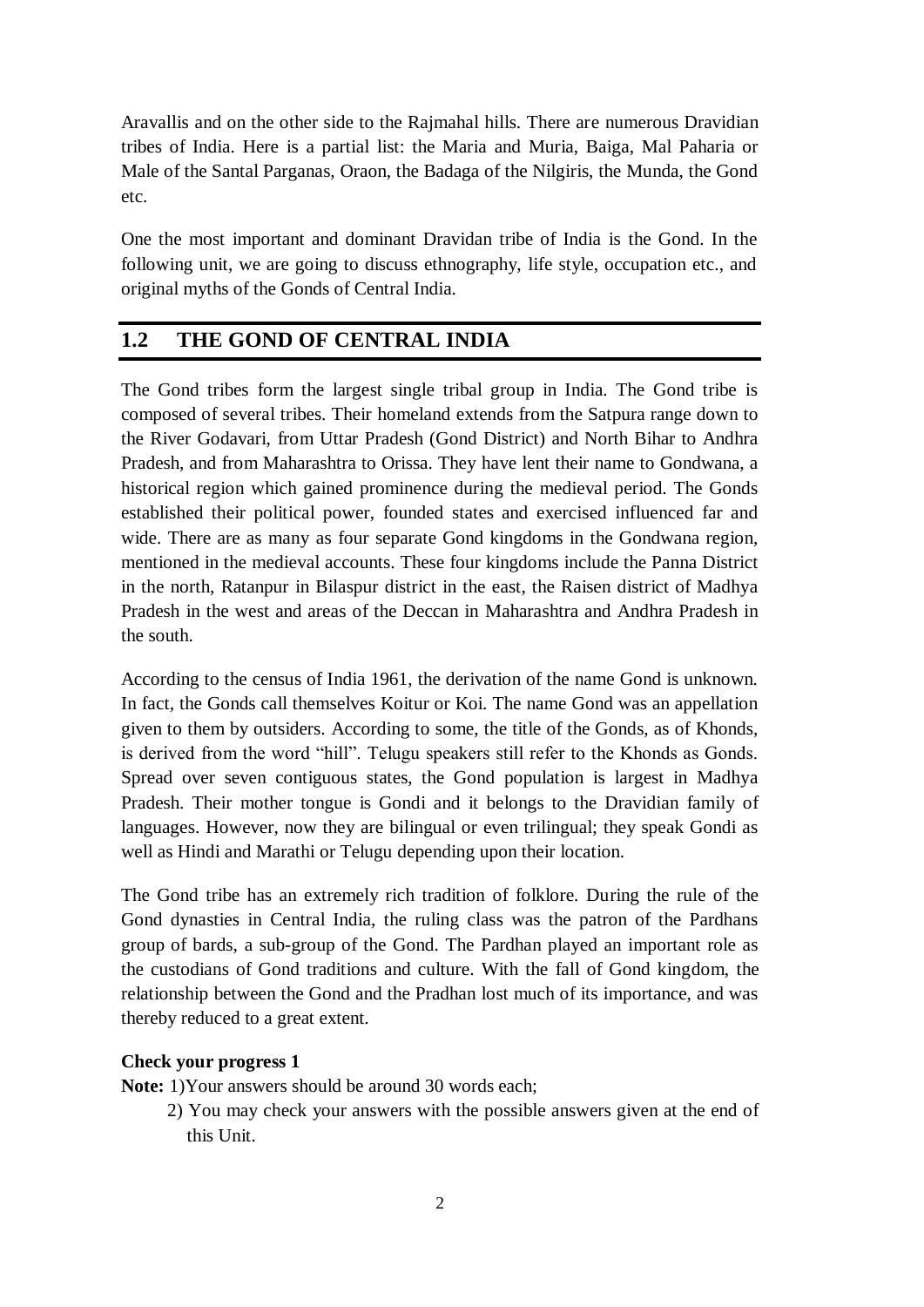regulated and they sell their products at the markets for cash to other business communities in the area. Most of the Gond tribes engaged themselves as agricultural labor, since many of them do not own any land.

### **1.2.3 Shelter**

The Gonds use natural materials like mud, grass, palm leaves etc. to build their huts. The traditional Gond house has a large verandah, which is called the oser, sometimes it is larger than the rest of the house. The middle portion of the house is called narma lon. This portion contains the storeroom and winter quarters. The main living room is designated as the agha and angadi is the kitchen. All Gonds have the bari or garden in small or large proportion according to the wants and desires of the family. They grow tobacco, maize, chillies, tomatoes, sesamum and many other vegetables in their garden. Cattle are penned in the garden to take advantage of the manure.

The traditional Gond elite have substantial houses; they use heavy logs, carefully selected bamboos, mud mixed with straw and cow-dung to build their houses. Lately the heavy thatched roof, made with thick layers of grass is being gradually replaced by local mud baked tiles. Usually, the door of the houses faces the east and the walls of the houses are often made of vertical pole stock dings. The economically disadvantaged Gond people make their walls with bamboo wattle work and all floors, walls and portions are plastered with mud.

### **Check your progress 2**

Note: 1) Your answers should be around 30 words each;

- 2)You may check your answers with the possible answers given at the end of this Unit.
- 2) What kind of economic activities do the Gonds pursue?

.................................................................................................................................... .................................................................................................................................... .................................................................................................................................... .................................................................................................................................... .................................................................................................................................... ....................................................................................................................................

### 3) What type of houses do well-off Gonds inhabit?

.................................................................................................................................... .................................................................................................................................... .................................................................................................................................... .................................................................................................................................... .................................................................................................................................... ....................................................................................................................................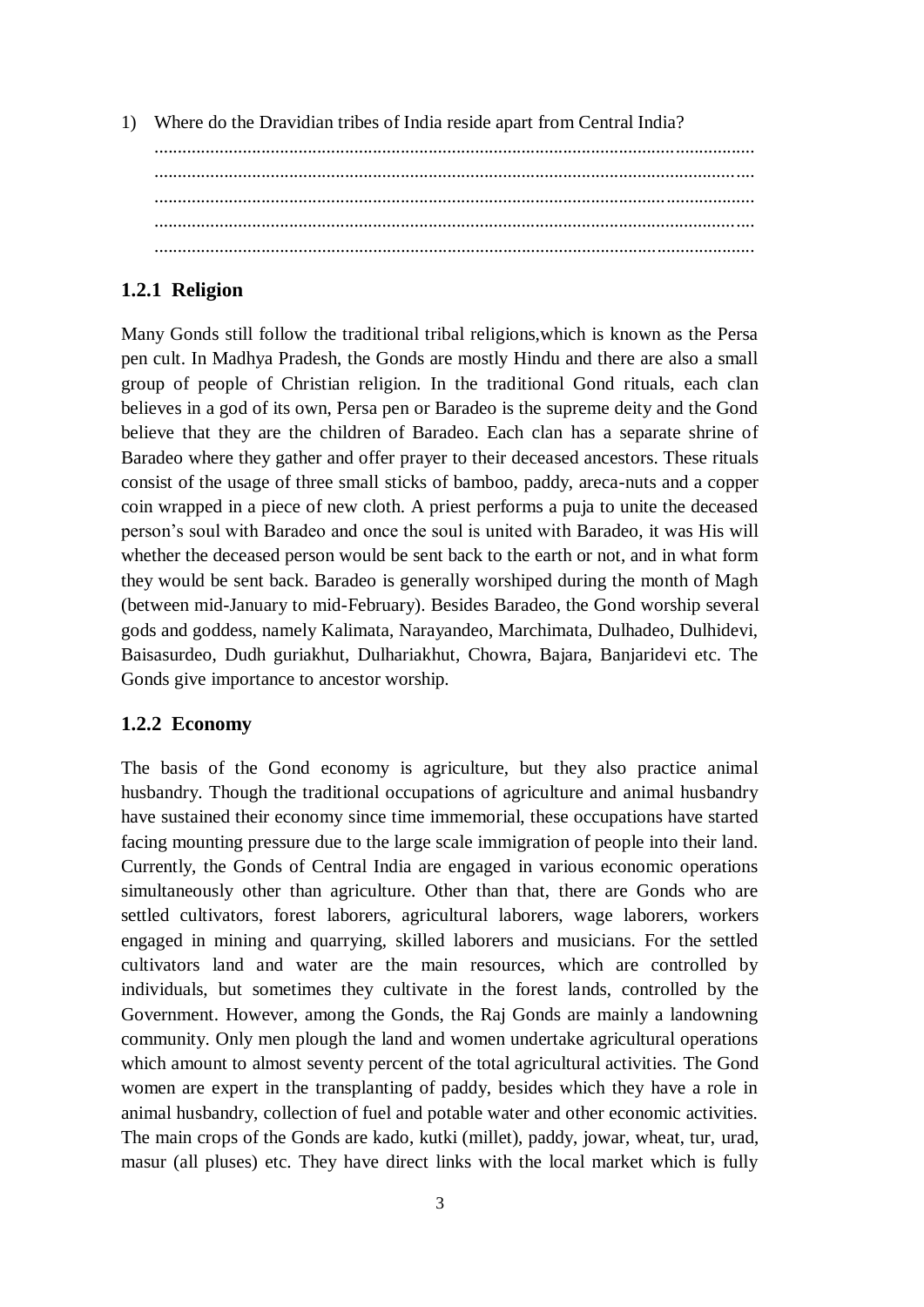### **1.3 SOCIETY AND CULTURE**

#### **1.3.1 Ghotul or the youth dormitory**

The youth dormitory is not universally present amongst all the Gond tribes. On the whole it appears to be a result influence from Orissa, Bihar and Assam. There are usually separate dormitories for the boys, with two apartments: one at the entrance and another in the centre of the village. The boys and girls of the tribe meet after evening time to dance, sing and enjoy themselves. They sleep in their own barracks. If there is no dormitory, then the young men sleep in the granaries. The young men must not sleep near their parents.

The Gonds, like other societies, have an impressive body of traditional cultural practices and regulations. The most important of these is the Ghotul system (the organization of youth halls from both sexes). However, many sections of Gond population in India do not have Ghotuls due to various social influences to which they have been subjected during the last several centuries. The Maria and Muria tribes, which are sub-groups of the Gond tribe of Central India, have Ghotul and it has been mentioned by Verrier Elwin. His work The Murias and their Ghotuls, is one of the important contributions to the study of a vital aspect of society and culture in India.

The aim and objective of the ghotul is to function as an institution for developing in both the sexes a love of the clan, and training them in conjugal and civic duties, not excluding opportunities for obtaining proficiency in hunting, dancing, music and the cultural life of the group. It may appear a paradox to non-tribal societies that they enjoy sexual liberties, and at the same time develop obedience and discipline, receiving opportunities for leadership in the institution. The place possesses an atmosphere of happiness, where life is full, interesting and useful. Other than this, the ghotul consistently promotes co-operation in all economic, recreational, ceremonial and social activities of the entire group. Thus primarily, the ghotul is meant to deal with the sexual life of boys and girls as they reach maturity. It aims to prepare them for sexual, marital and family responsibilities that follow with the coming of adulthood. It promotes a mixing of both sexes without adult and parental control, and develops a sense of responsibility by imposing self motivated leadership. The Ghotul probably originated to fulfil the need of special training for each sex under different local and tribal conditions. The taboo on sexual intercourse before the communal hunt, during sowing, reaping and harvesting operations have contributed towards keeping alive the institution of the dormitory though it originated in a period of struggle with the forest, wild animals and alien men. The Maria ghotuls are institutions which serve to provide opportunities for young men and women to stabilize and strengthen intimacies, which may be a prelude to marriage.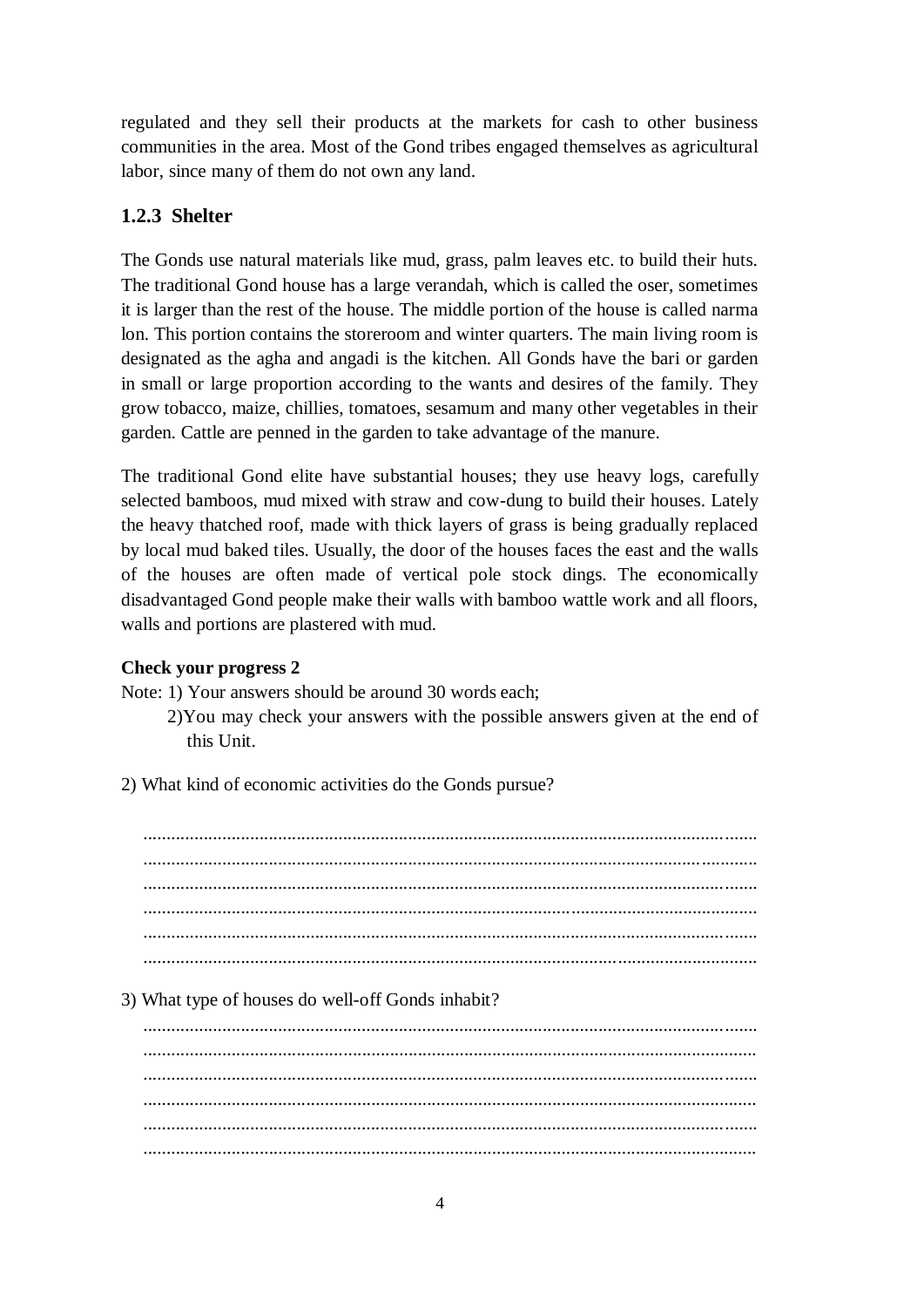The male leader of the ghotul has been known as sardar and the female leader is known as Belosa, but their names varies from place to place .They practically monitor various activities of the ghotul.

### **1.3.2 Marriage**

The Gonds have several types of marriage practices. The oldest among them is marriage by capture, known as Poysceottur. This practice varies from place to place. Another type of marriage practice occurs when the girl elopes with the boy. In some marriages, even after consent of the parent is obtained, the couple prefers a marriage by elopement. Elwin found that it also could be because of economic reasons; if the parents found it difficult to collect the required grain for the communal feast, or were reluctant to face some opposition from influential clan members. Sometimes, it also happens due to impatience. Romance and thrill all combine to lead elopement, the boy and girl run away to a friendly house or ghotul. At times the girl is made pregnant to compel her parents to agree to the marriage. The couple then has to face the clan jury, who will demand the feast or Mahua (local liquor made from Mahua flower) drinks, or a fine before agreeing to regularize this marriage.

Amongst the Gonds, a man may marry his mother-in-law or co-widow, or any women related to him closely, where the classificatory system of relationship is not prevailing. However, he cannot marry his wife's elder sister. First, cousin marriage is most common amongst all the Gonds.

The practice of giving bride-price is common with the Gond tribes. This nature of the bride price, the articles and quantities given, their value and the amount of cash given with the gifts will naturally differ not only from place to place, but it also varies between different house-holds. The total expenses of marriage vary widely between a few hundred rupees amongst the economically disadvantaged Gonds, and more than a thousand amongst the Raj Gonds. The boy's father has to give to the girl's father grain and money as bride-price.

# **1.3.3 Death ritual**

In earlier days the Gond used to bury their dead, but now they cremate the dead body. The Gond follow certain rules for dead body, for example if Gonds die of unnatural death, such as killed by tigers or commit suicide, are buried. It is believed that the Chanda, a sub-group of Gond might have introduced the cremation rituals. Now almost all clan follows the cremation rituals. It is also said that the old persons are burnt with special honour to save them from being devoured by beasts.

According to the Gond beliefs, any person should not die on a cot or bed. Because the body should touch the "bhum" or earth is easy to understand since death is believed to be caused by the earth spirit. The body, therefore, is put on the ground when life is ebbing out. In most cases death is attributed to the departure of breath,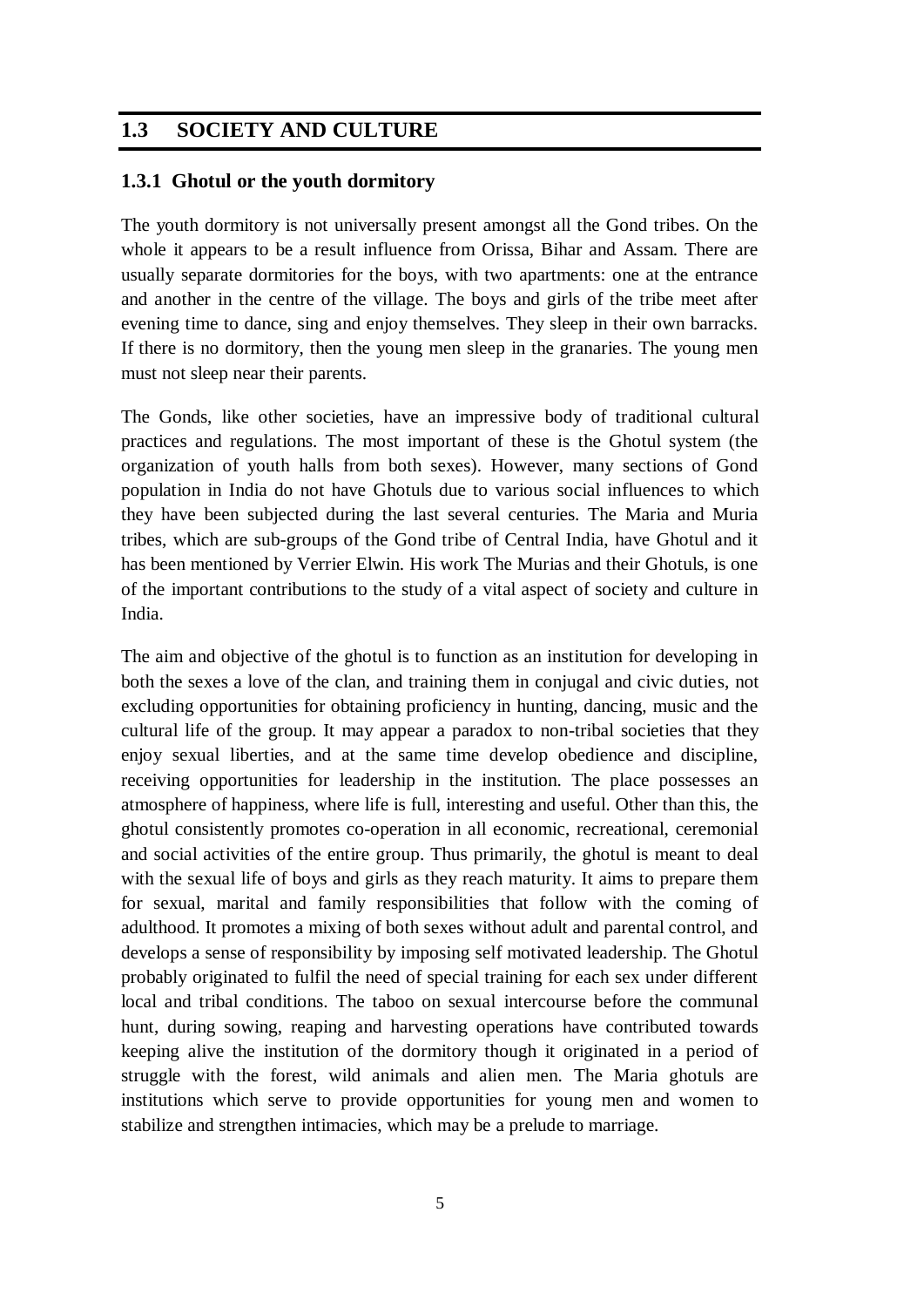though the ghost or soul is clearly identified as "hanal". The dead body of a Gond anywhere is always placed such that the feet faced the north, and the head faces the south. The home of their deities is believed to be in the north. The Maria however, is known to place the corpse facing west. When the body is buried it is naked. The corpse is bathed in water, and sometimes milk is sprinkled on it. In some places it was rubbed with Mahuwa oil, turmeric and charcoal. Whenever burial is practiced, after the grave is dug waist deep the body is placed in position, face upwards, and the nearest relatives throw a clod of earth on the head of the corpse, saying "this is all I can do for you, and I give you my portion". The female corpse is buried face downwards.

The Gonds believe in rebirth and life after death. They believe there is continuity beyond death because it is the substantial foundation of all worship of the dead. The dead have wishes, desires and needs which the living must satisfy for their own sake, as also for the benefits of those who survive after them. The ghost soul, in certain cases remains with the dead body till stones are discovered in which they will remain with the living forever. The ghost-soul is capable of leaving the body, and at times re-entering any other body, both during life time as well as after death. Thus are diseases explained, and belief arises in possession, black magic, or the power of ghost spirits. Baradeo is worshiped and ceremonies are performed to mingle the dead with Baradeo. Such ghost souls are expected to take a new birth.

#### **Check your progress 3**

7 Note: 1) Your answers should be around 30 words each; 2)You may check your answers with the possible answers given at the end of this Unit. 4) What is the importance of the Ghotul in Gond culture? ................................................................................................................................. ................................................................................................................................. ................................................................................................................................. ................................................................................................................................. 5) What is marriage by elopement among the Gonds? ................................................................................................................................ ................................................................................................................................ ................................................................................................................................ ................................................................................................................................. ................................................................................................................................ 6) What do you know about the Burial ceremony of the Gonds? ................................................................................................................................ ................................................................................................................................ ................................................................................................................................ ................................................................................................................................. ................................................................................................................................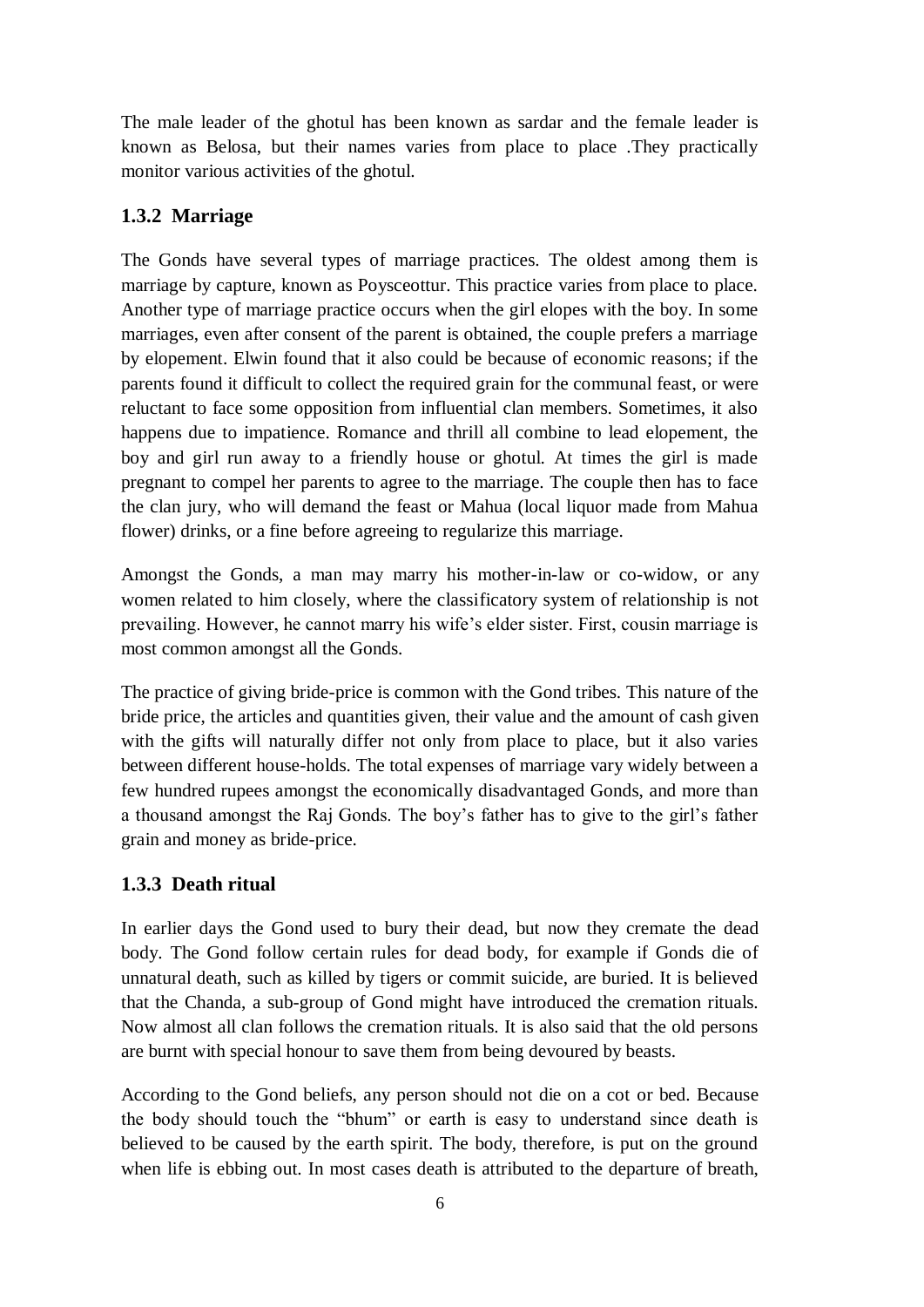### **1.3.4 Handicraft products**

The Gonds have rich tradition of handicraft products which includes body tattooing, rangoli (floor paintings), pottery and basket-making, etc. The Gonds are proficient in wall painting, which they do in red and black on a white background. They draw many natural objects such as animal, birds, trees, human figures, hunting scene, dancing poses, as well as geometric forms to decorate their walls. The decorations are made with thick sticks, mud or clay mixed with chaff and water. The Gonds are also proficient in woodcarving and they decorate the doors and panels with beautiful cravings.

### **1.3.5 Ornaments**

The Gond women can be identified by their ornaments. One of the most important is the bhimindia dhar (head ornament), various types of necklaces called as hamshi and a series of hairpins. They also tattoo their body with various patterns like half moon, star, cross, comb, flower, deer, rabbit, peacock, scorpion, flies etc. The men often wear a choker around their neck made up of two or three rows of cowrie-shells stitched to a cloth band. It is believed to possess magical powers and these little shells are also used by them as tassels for their purse-bags or on their waistcoats and belts.

# **1.4 ORIGINAL MYTHS OF GOND TRIBE**

According to the Gond belief the primordial male ancestors of their society is Wen. There are four groups of Wen such as Yerung, Sarung, Siyung, and Nalung, they are numbered as 7, 6, 5, and 4 by the Gonds. The Gond belief that these four Wen who were emerged from the cave in which they had been imprisoned by the God Mahadeo. Later they married twenty daughters of four gods of the underworld and became the forefather of the Gond tribes. The four Wen and their wives divided into four groups which are the prototypes of the present Saga (Phratries) known as Yerung Saga, Sarung Saga, Siyung Saga and Nalung Saga. In the beginning the families of these four Saga lived in one village and later they shifted to other places and formed their own village. The names of this Saga can be found in the Gond legend. Apart from legends, the numbers corresponding the Wen (original ancestors) are found involved as persons, actions or as articles in many rituals associated in Gond life (Furer-Haimendorf, Christoph von.1956. Bulletin of the School of oriental and African studies. University of London. Vol.18.No.3.pp.499-511)

According to a Gond legend regarding their origin, that they had divine ancestors who were nurtured by the goddess Parvati, but her consort Sri Shambhu Mahadeo imprisoned them in a cave. These principal Gonds were ultimately liberated by the Gond culture hero Pahandi Kapar Lingal with the assistance of Jangu Bai, a goddess well disposed to the Gond, and still regularly worshiped. When the primeval Gonds,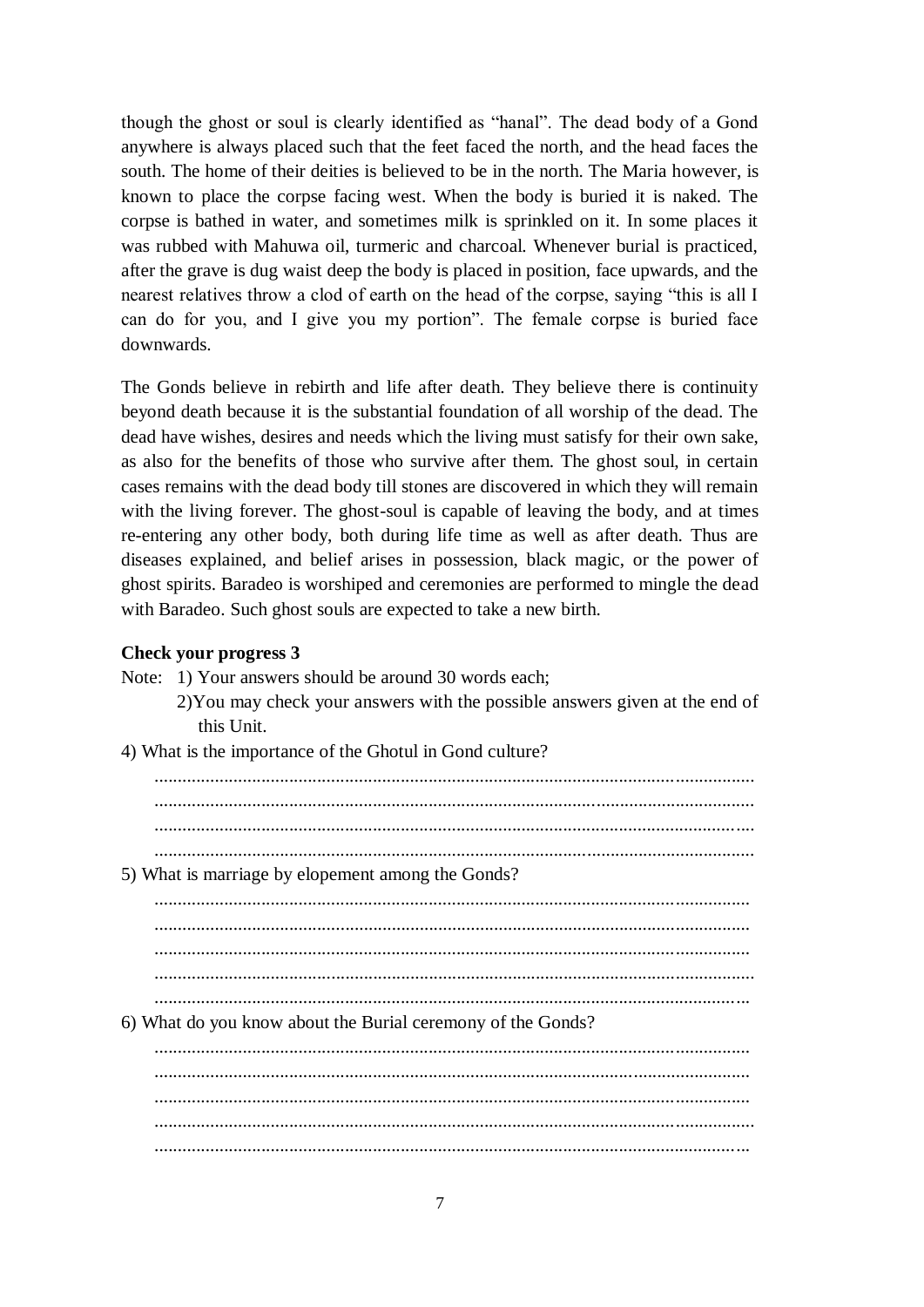referred to as the Parenda Khara Koya Wasi Penk, literally meaning the twelve threshing floors of the Gond gods, emerged from the cave, they appeared in four batches, and this division into four groups laid the foundation of the basic structure of Gond society.

### **Check your progress 4**

**Note:** 1) Your answers should be around 30 words each;

2) You may check your answers with the answers given at the end of this Unit.

7) Who is Wen and what are the four groups of Wen?

.................................................................................................................................. .................................................................................................................................. .................................................................................................................................. ..................................................................................................................................

# **1.5 LET US SUM UP**

The Gonds belong to a category of very large tribes (also including Santals and Bhils) that have traditionally dominated the regions in which they have lived.Traditional Gond religion involves a distinct pantheon of gods and spirits, practiced by many Gonds along with Hinduism. Gondwana or "land of the Gonds", is a loosely-defined area of southeastern Madhya Pradesh, eastern Maharashtra, and parts of Chhattisgarh, Orissa, and northern Andhra Pradesh. The region was home to several Gond kingdoms from the 15th century to the mid-18th century, when the Marathas expanded into the region from the west.

The Ghotul or the Youth dormitory is a central institution in the life and culture of the Gonds. This institution not only gives both the sexes opportunities to mingle with each other, but is a highly developed and carefully organized institution. It is also a school which provides co-education in every aspect of tribal life, and it is here that boys and girls, at an early age, are trained for marriage (B.H. Mehta.1984. Gonds of the Central Indian highlands.Vol.1)

# **1.6 ACTIVITY**

Look up pictures of the Gond tribes and more literature on them and other Dravidian tribes at the nearest library. If you live close to a tribal settlement try to visit them and learn more about their lifestyle. Write down your observations and discuss with your friends or co-students if possible.

### **1.7 REFERENCES AND FURTHER READINGS**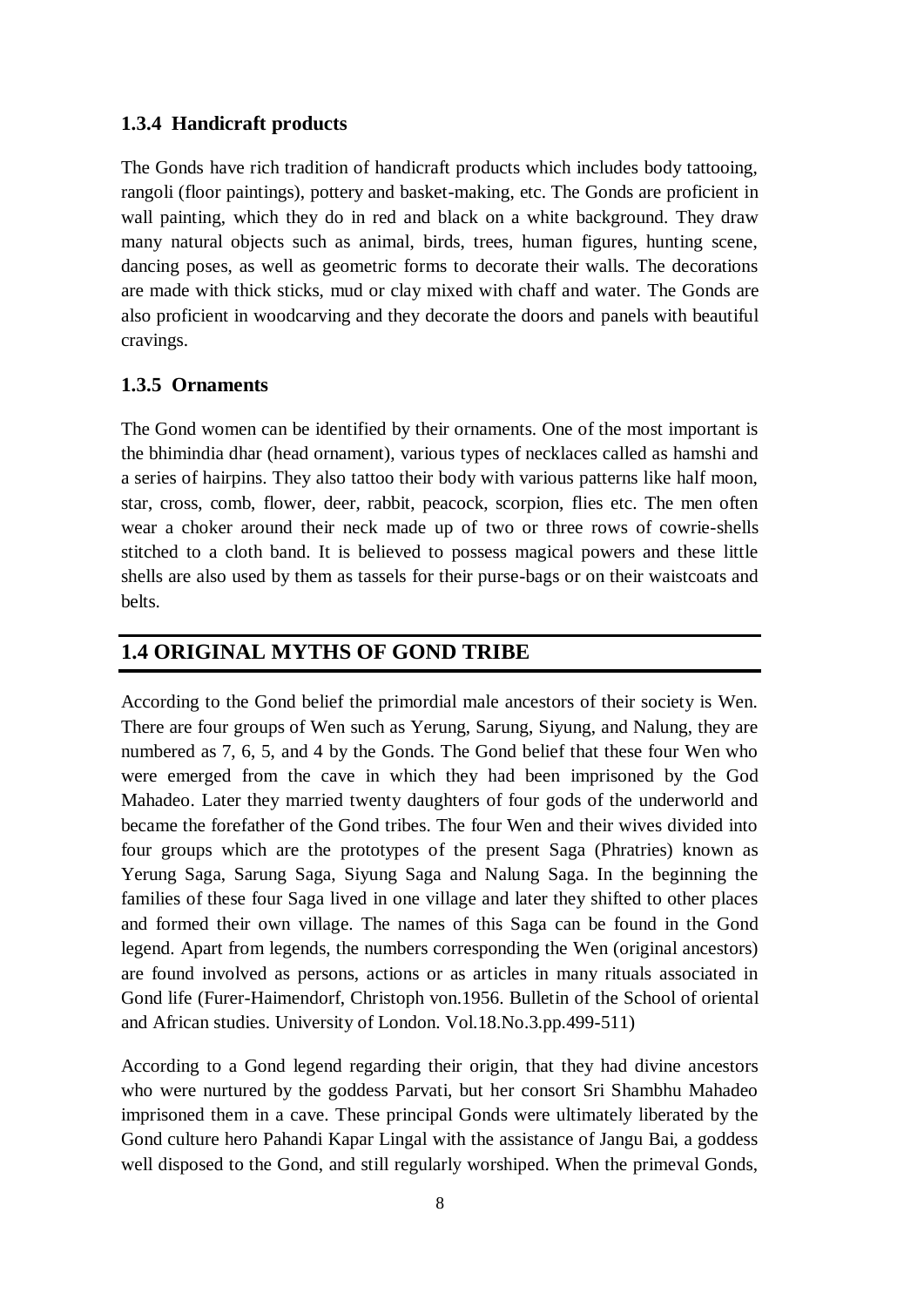- Furer-Haimendorf, Christoph von. The decent group system of the Raj group in the Bulletin of the School of Oriental and African studies, University of London. Vol. 18, No.3. Honour of J.R. Firth (1956).pp.499-511
- Mehta, B.H. Gonds of the Central Indian highlands.Vol.1 and 2. New Delhi: Concept Publishing Company,1984.
- Singh, K.S. Scheduled tribes of India. New Delhi: Oxford University Press,1984.

# **1.8 GLOSSARY**

| <b>Dormitory</b>                | : An apartment with arrangements for rest or bedding for people<br>to rest. |  |  |
|---------------------------------|-----------------------------------------------------------------------------|--|--|
|                                 | <b>Communal Feast</b> : A faest given by the host for his entire community. |  |  |
| Elopement                       | : Running away to marry secretly, usually without parental<br>consent.      |  |  |
| <b>Classificatory system of</b> | : A system of organizing various familial                                   |  |  |
| <b>Classification</b>           | : relationships on the basis of kinship, blood-ties etc.                    |  |  |
| <b>Egalitarianism</b>           | : Relating to ideas of the social equality of all individuals.              |  |  |

# **1.9 CHECK YOUR PROGRESS: POSSIBLE ANSWERS**

1) The South-east regions of India including areas of Tamil Nadu and Andhra Pradesh and the states of Orissa and Bihar are the areas other than Central India inhabited by the Gond tribes.

2) The primary economic activities of the Gonds are agriculture and animal husbandry. Due to encroachments on their lands, of late the Gonds also work as forest-laourers, wage-labourers, mining and quarrying workers and musicians among other activities

3) Well-off Gonds live in substantial or large houses that are built of heavy logs, carefully selected bamboos and plaster of mud mixed with straw and cowdung. Lately local mud baked tiles are replacing the traditionally used thatched roofs made of heavy layers of grass.

4) The Ghotul or youth dormitory is a pair of apartments one for boys and one for girls situated at the entrance and center of the Gond village or settlement. Boys and girls meet in the evenings to socialize. The Ghotul is meant to prepare the young for sexual, marital and family relationships that will accrue upon adulthood. This is a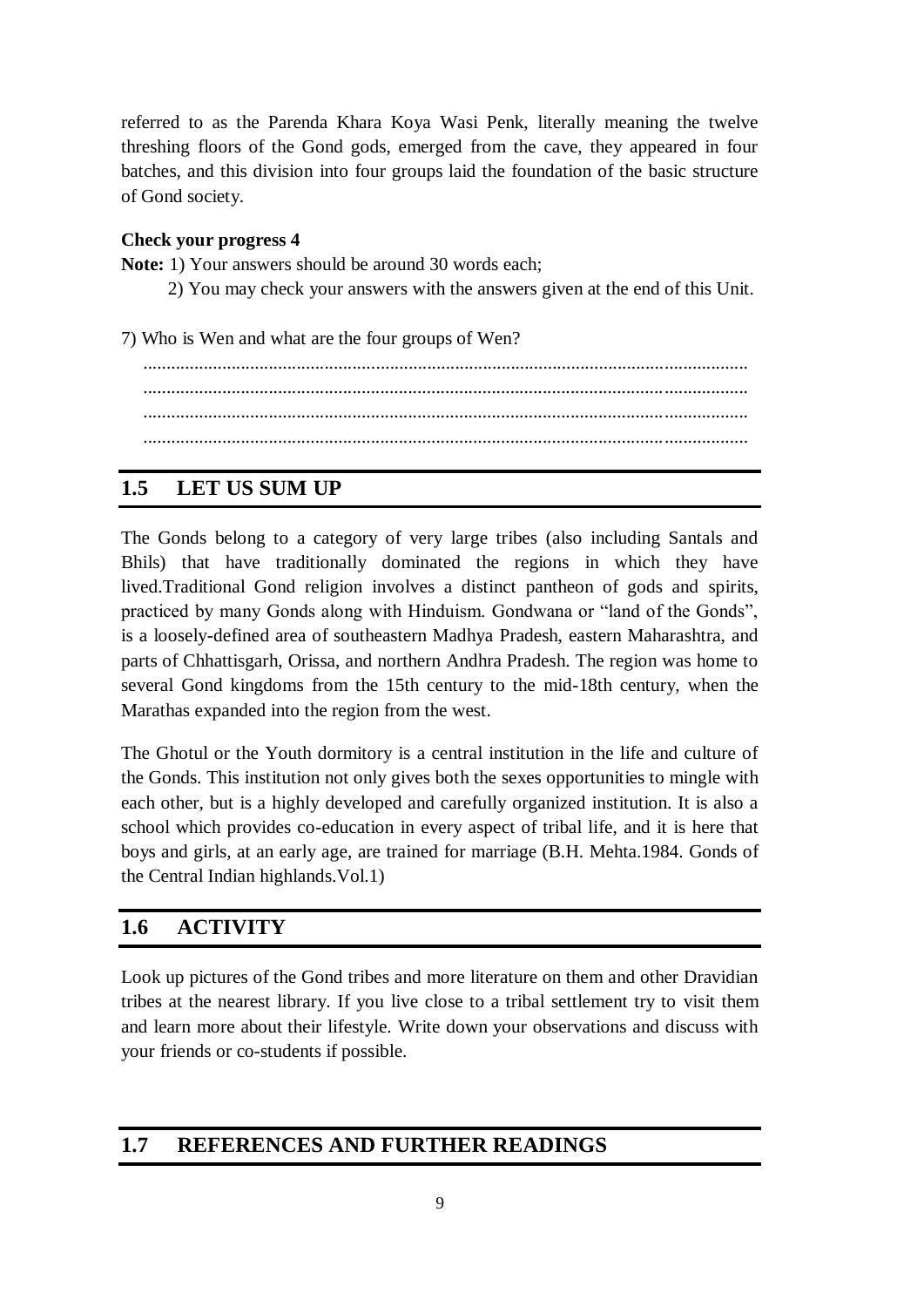very important feature of Gond culture as this is where a love for the clan is cultivated along with values of self-leadership and responsibility.

5) The boy and the Girl in Gond communities may sometimes run away and find refuge in a friendly Ghotul or youth dormitory. At times, even after parental consent is obtained the couple may prefer to run away for various reasons.

6) Gonds prefer to bury those who die unnatural deaths such as by suicide or tigerattacks etc. As death is believed to be caused by the earth-spirit, the body is placed on the ground when life is ebbing out. The body is usually placed with the feet pointing to the north and the head pointing to the south. The Grave is dug waist-deep and the body of male is placed face upwards, if female, she is placed face downwards. Nearest relatives throw a clod of earth upon the body thus placed saying, "this is all that I can do for you…"

7) According to the Gond belief the primordial male ancestors of their society is Wen. There are four groups of Wen such as Yerung, Sarung, Siyung, and Nalung, they are numbered as 7, 6, 5, and 4 by the Gonds.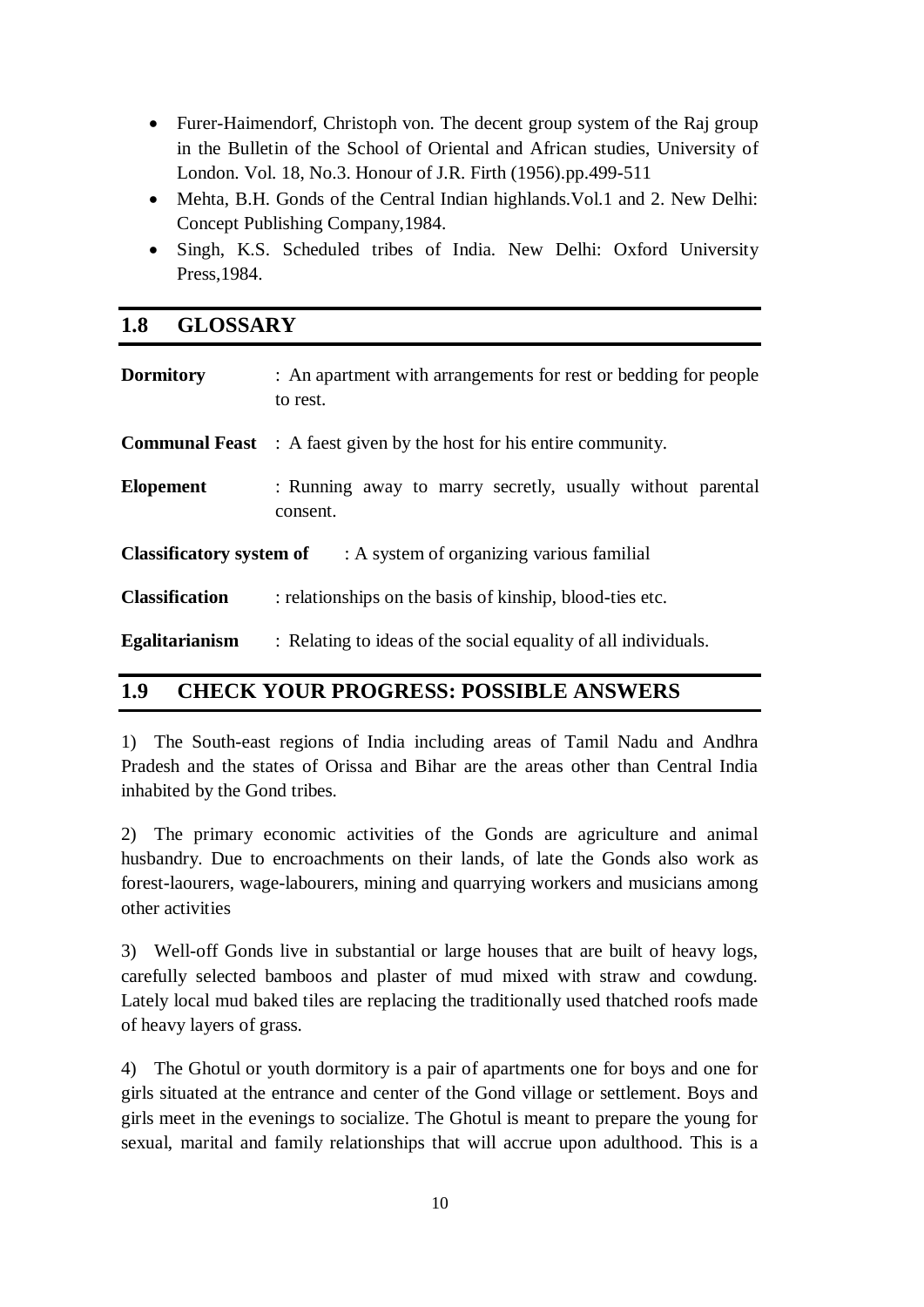# **UNIT 2 : MONGOLOIDS**

#### **Structure**

- 2.0 Objectives
- 2.1 Introduction: the Mongoloid tribe
- 2.2 Case study: the *Garo* tribe of North East India
	- 2.2.1 House and utensils
	- 2.2.2 Weapons
	- 2.2.3 Agriculture
	- 2.2.4 Food
	- 2.2.5 Dress and ornaments
- 2.3 Festival and ceremony
	- 2.3.1 Music and dance
	- 2.3.2 Musical Instruments
	- 2.3.3 Games
- 2.4 The Nokpante or the Youth Dormitory
	- 2.4.1 Marriage
	- 2.4.2 Divorce
	- 2.4.3 Adoption
	- 2.4.4 Laws of adoption
	- 2.4.5 Birth
	- 2.4.6 Funeral
- 2.5 Religion and belief
- 2.6 *Garo* etiological tales
- 2.7 Let us sum up
- 2.8 Activity
- 2.9 Reference for further readings
- 2.10 Glossary
- 2.11 Check your progress: possible answers

# **2.0 OBJECTIVES**

After reading this Unit you will be able to:

- write about the Garo tribe;
- discuss social and cultural life of the Garo tribe in details;
- explain about the bachelor's dormitory and its importance;
- describe about matrilineal society; and
- discuss about the original myths of the Garo tribe.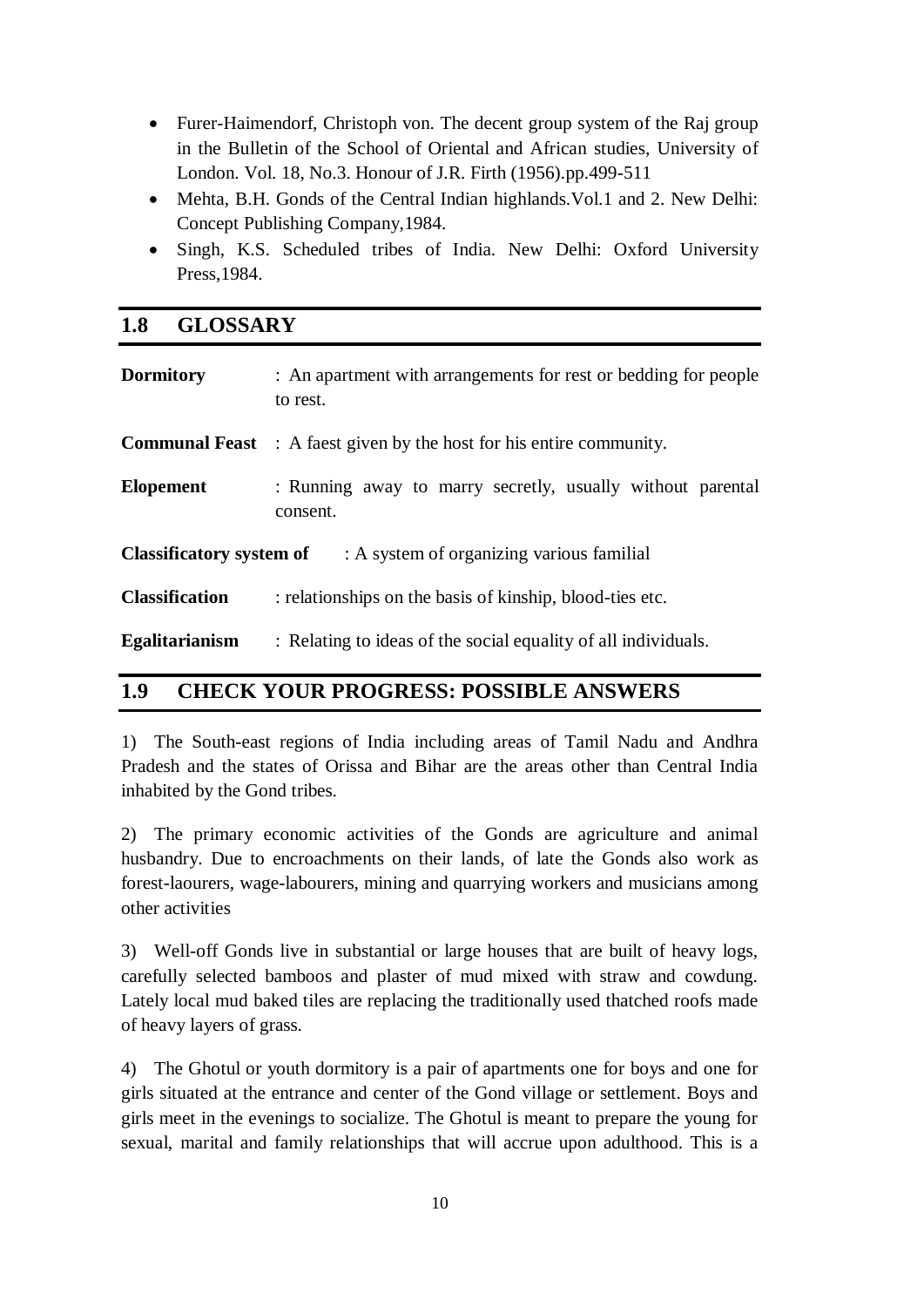# **2.1 INTRODUCTION: THE MONGOLOID TRIBE**

A large number of Mongoloid tribes of India are located in the North-eastern states of India. These tribes of North-East may be conveniently being grouped under certain heading like the Boro, the Khasi, the Naga, the Luchai-Kuki, the Arunachal tribes and "other". The basis of these groupings is the one or the other factor like linguistic affinity, cultural similarity and common territory.

# **2.2 CASE STUDY: THE GARO TRIBE OF NORTH EAST INDIA**

The Garos belong to the Garo Hills from one of the major constituent tribal population the state of Meghalaya in North East India. Apart from the Garo Hills, there is large number of the Garos live outside the Garo Hills district. They are found in the all over the Brahmaputra valley and other hill districts of north-east India. Other than these they are also found in Mymensing district of Bangladesh.

They are sub-tribes of the Bodo group of Mongoloid origin, speaking a language of the Tibeto-Chinese family. Originally, there were eleven groups among the Garos, each inhabiting a districts part of the Garo Hills districts. Each group lived in isolation and thereby evolved their own distinct culture and language.

### **Check your progress 1**

**Note:** 1) Your answers should be about each 30 words each:

- 2) You may check your answers with the possible answers given at the end of the Unit.
- 1) Where do the Garo tribe of India belong to?

.................................................................................................................................... .................................................................................................................................... .................................................................................................................................... .................................................................................................................................... .................................................................................................................................... ....................................................................................................................................

### **2.2.1 House and utensils**

The Garos build their houses on wooden piles on the slopes of the hills, but the piles are constructed with very little regard for regularly. Therefore, some of the piles are longer than others. These are platform houses: on the top of the floor posts, crossbeams are placed; over these a layer of whole bamboos, and lastly, a covering of rough bamboo matting. The walls are made of same matting, and the roof is constructed of thatching grass. If the thatching grass is not available, the bamboo leaves of a species of a cane are also used. The houses are quite long; they are divided into three principal parts. The first part is called Nokkra, which is a small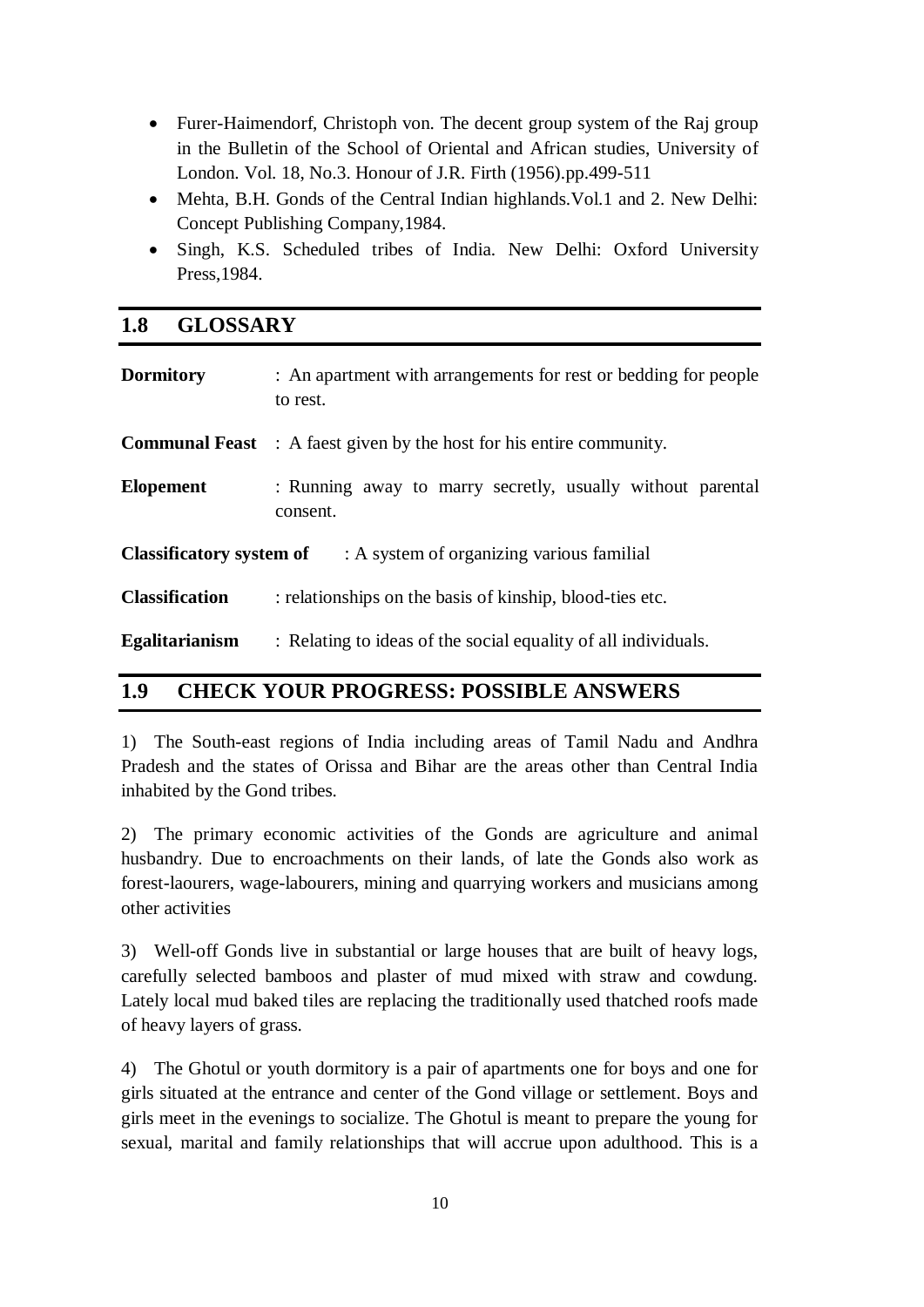patio near the front door. The Nokkra is used for mortar and pestle for pounding paddy, a stock of firewood, miscellaneous household articles and even keeping cattle. The second part is called Nokcanchi. This is the public living room of the family and usually taken up about two-thirds of the whole building. Here, they have a fireplace, space for meals and space for unmarried women of the house to sleep. The last room of the house is called Nokoring, which is the sleeping room of the husband and wife.

The Garos use limited utensils mainly of cooking pots, large earthen vessels for brewing liquor, the pestle and the mortar with which paddy is husked. They have bamboo baskets of different shapes and sizes and few cutters and knifes. Dry gourds are used for carrying water from streams and for drinking; a number of these gourds are of various shapes and sizes. The gourds are allowed to dry and are then converted into water-bottles by the process of cutting a hole and shaking out the seeds.

### **2.2.2 Weapons**

The Garos have a number of indigenous weapons. One of the principle weapons of the Garos is a two-edged sword called Mi'lam, which has a blunt arrow-shaped point and made of a single piece of iron from hilt to point. Mi'lam has a decorative handle. It is useful for long journeys to clear the jungle, split firewood, cut up food and also for defense. Other weapons are the shields and they are two kinds; the *Sepi*, which is made of wood, or flat lengths of wood bound together and covered with very thin strips of cane or bamboo. The other is called *Danil* which is made of bearskin or cowhide stretched on a wooden frame. Both of them are of the same shape and size. They are fitted with handles made of cane. Apart from these, bows and arrows are also well-known to the Garos.

### **2.2.3 Agriculture**

The Garos are mainly agriculturists. An important practice is that of jhum (shifting) cultivation of rice, fruit (like pineapple), and different vegetables. They construct a small hut known as a *Borang* or watch hut on top of the tree in the jhum field to guard the cultivation from birds and animals. These huts are often used for taking rest in the afternoon and for sleeping in the evening. The harvest is kept in granaries, located on the side of the village. The custom of building granaries away from the center of the village has its origin in the fact that the grain is more safe in case of fire breaking out in the homes.

#### **2.2.4 Food**

The staple foods of the Garos are rice, millet, maize, vegetables and fruits etc. One of their favorite foods is dry fish known as Na'kam. Tapioca is another main food article of the Garos. They also eat some forest produce like yams, bamboo shoots, and roots. They eat all kind of animal and bird meat like goats, pigs, cows, fowls, and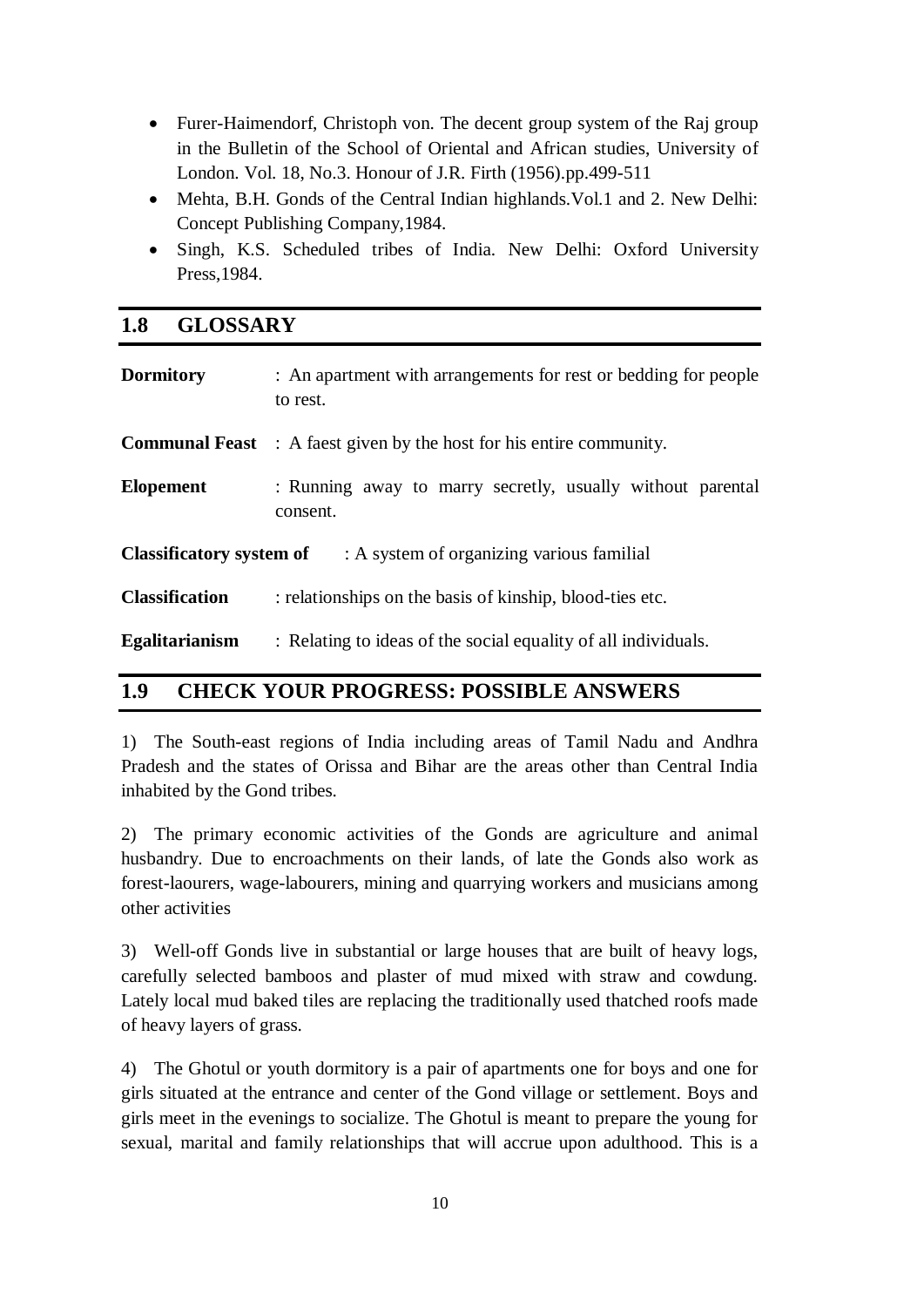ducks. Some Garos eat non-poisonous snakes and lizards. The Garos drink local liquor called Bek or Pongsim, prepared from rice, millet, or maize.

# **2.2.5 Dress and ornaments**

The principle garment of the traditional Garo men is the Gando. The lower half of the body is covered by strips of woven cloth about six inches wide and approximately six or seven feet long. The cloth is passed between the legs, brought up behind and wound around the waist; the end is tucked under the back folds. The other end of the Gando is hung in front. The Gandos is decorated with several rows of white beads made of conch-shells, along the end of the flap. Western-style shirt/pants are rare. However, the modern Garo men will sometimes wear shirts and pants. Turbans, made of blue or white cotton, are common types of headgear. On some important occasions like the Nokmas and the Laskars the Garo will wear silk turbans.

The Garo women wear a dress known as Re'king. It is a piece of cloth 18 by 14 inches. It is tied at the top, either on the left or right side by the strings, which allow it to remain open on the thigh. The modern Garo women have a great variety of dresses. They often wear a dress known as Marang-ja'sku, for ceremonies or dances. The dress is worn wrappped round the body passing under the right arm, and tied in a knot on the left shoulder. It hangs down to the knees and is open at the left side.

The Garo men and women are fond of ornaments; most of the ornaments are commonly used by both men and women. Some of the ornaments worn by both men and women are *Nadongbi* or *Otongga* or *Sishas* earrings, which is a brass ring worn in the lobe of the ear. Nadirong is another ornamental earring, which is small brass ring worn in the upper part of the ear. Other ornaments include the Natapsi, a long string of beads, and the Ripok, a necklace made of long, barrel-shaped beads of cornelian or red glass.

# **2.3 FESTIVAL AND CEREMONY**

The Garos observe various festivals, closely related to agricultural cycels. All festivals are held annually, and consist of two parts, one religious and the other social. Here is some of the most common festivals:

O'pata: a ceremony celebrated before a man decides to clear and cultivate a plot of land for agriculture.

Den'bilsia: the festival marks the completion of the clearing of the new jhum field. It is celebrated sometime between the months of January-February.

Mi Amua: this festival is performed usually by the end of June or early July to ensure the good harvest.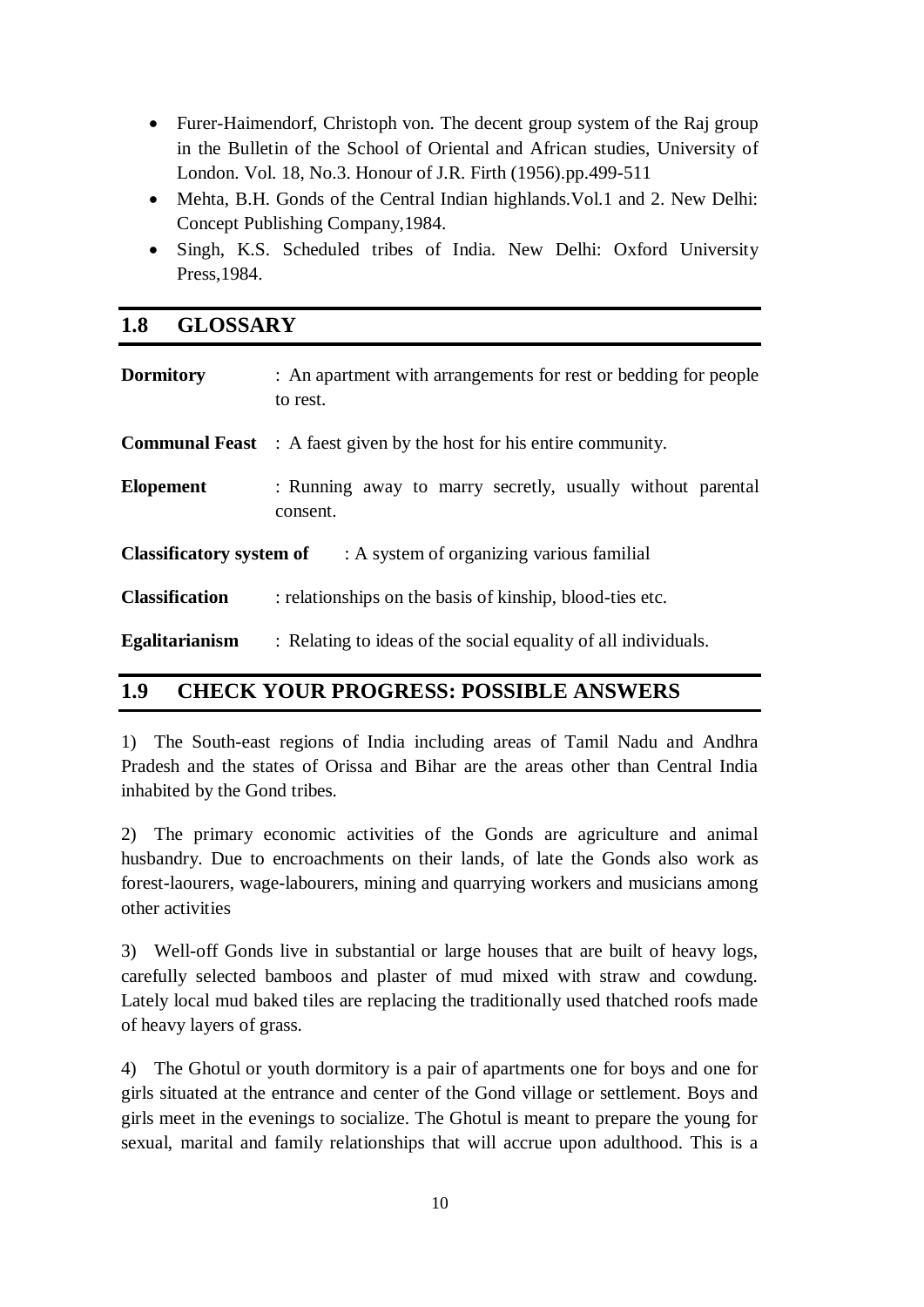Rongchu gala or Ginde gala: a thanksgiving ceremony to God for giving a good harvest.

Wangala: the most important festival of the Garos. It is performed in connection with the jhum cultivation. It is usually held in the month of October, but each village sets its own time for celebration. Wangala is celebrated in with great pomp and grandeur after the harvest. The Garos offer sacrifices to their highest god Saljong (sun god), and to seek his blessing for the future. By the evening the villager get together in the Bachelors' house and celebrates the festival with music and dance. After the sacrifice they take food and drink local liquor " Chu Rugala".

### **2.3.1 Music and dance**

Music and dance is integral part of life for the Garos. They have mainly two types of dance, which are ceremonial and recreational. The former is performed only on religious festivals where as the latter can be danced at any time when the boys and girls dance not to please the gods but to please themselves. The Garo have various folk and martial dances, which are performed during ceremonies like *Gana*, *A' song Kosi* or annual worship at the site of the sacrificial stones, agricultural, mangona or the post-funeral rituals etc. Other than this, the *Nokdongga* or the inauguration of a new house, *Nokpante Nokdongga* or the inauguration of a bachelor's house.

The Garos people of the Rugas and the Chiboks divisions sing and dance only during funeral ceremonies, not on the normally expected times of celebration. John Elliot (Observations on the inhabitatants of the Garrow Hills, Asiatic Researches, Vol.III, pp. 17-37) who visited Garo Hills in 1788, gave a vivid description of the general pattern of the Garo dances as follows:

"20 to 30 men stand one behind one another, holding each other by their belts on each side, they go round in a circle, hopping first on one foot, then on the other, singing and keeping time with the music, which is animating through harsh, and quite pretension to distinct notes. The musical instruments are *tomtoms*, beaten by old people, and brass gongs, by young people, with marvelous precision. The women, modestly apart from the men, dance in rows, hopping on their feet like the men, but with arms, outstretched, and raising first one arm, then the other, to the clash of the musical instruments, and occasionally turning round rapidly". Generally, each dancing group has a leader who leads the group with sword and shield in his hands, and adds to the melody by cries of "*Kai Kai*". This kind of dancing is known as *Grika* and the leader as *Grikgipa*, and undoubtedly owes its origin to its old fighting day, when on occasions of public rejoicings the warriors wanted to dance and recount their deeds of velour to the audience.

One of the interesting dances performed during the Gana ceremony or the investiture of a Nokma is known as "Gana Nokma". This ceremony can be performed by a men when he becomes very rich, which mainly a feast is given liberally to all the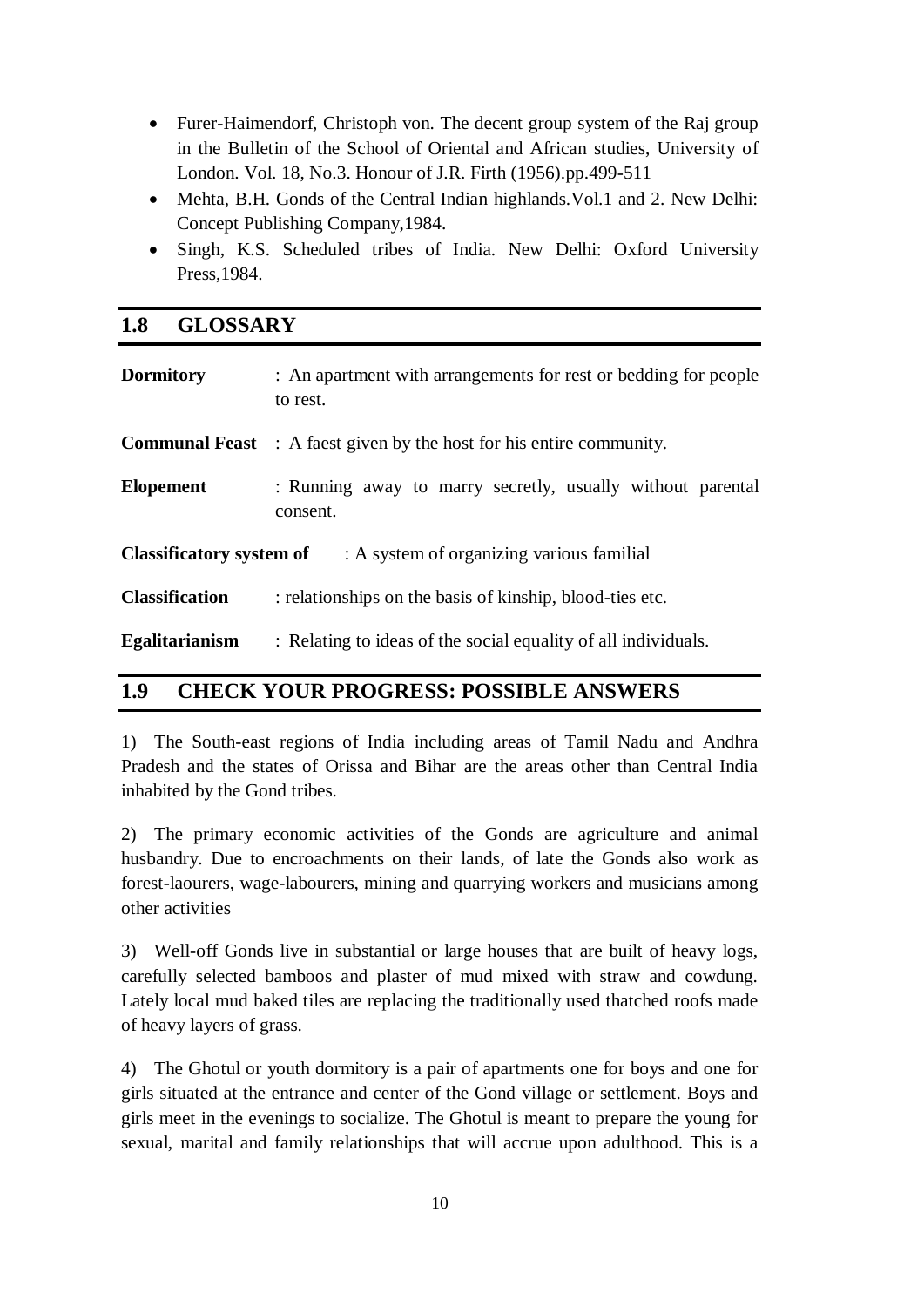villagers. In the evening, the host wears *Kotip* or turban, *Jaksil* or elbow ring and holds the shield in his left, *Mi'lam* or sword in his right hand and dances with the rhythm of the drum. This is a solo dance by the host, no other relative or friends are allowed to dance with him. The Gana Nokma dance generally lasts for about three days but sometimes it may continue for several days. If the Gana Nokma dance continues giving such a feast and provides amusements for the people once every year, then some fresh bamboos with and without leaves will be planted every year in front of the host's house. That shows how successful he has become over the years. But in case it becomes opposite then he discontinues the annual feast and gives the feast according to his convenient or forever. Such *Nokmas* usually wear red turban and the elbow ring.

### **2.3.2 Musical instruments**

The Garos have variety of musical instruments like drums, gongs or rang, cymbals etc.

Drums types**:** There are several big and small types of drums played by the Garos and they are dama (long narrow drum), kram (larger drum than dama), Nadik (small wooden drum), nagara (large drum).

Flute types: The Garos play different types of bamboo flute such as Otokra (long bamboo flute), Ilongma (small bamboo flute) and Bangsi (bamboo flute much smaller than Otokra and Ilongma), Imbingi (flute made of short piece of thin bamboo).

Gongs or Rang: the Rang or gongs are brass metal plates or basins. Besides playing as musical instruments, they are also used as a Gold reserve, because in the Garo society men of wealth and social standing are measured by the number of Rangs one possesses.

Cymbals types: the Garos play two kinds of cymbals: Kakwa (small brass cymbals) and Neggilsi (smaller than the former one, made of brass).

Besides these musical instruments, there are Gongmina or jews' harp (made of thin slit of bamboo), Adil (small wind instrument made of buffalo horn) and Singga (another type of buffalo horn).

### **2.3.3 Games**

The Garos have some traditional games and sports. These games are held every year in the village ground. Some of the games and sports are:

Wa' pang ka'la (played by two men, by using a bamboo pole and big stone)

Garo makal pala (kind of wrestling, played by two men)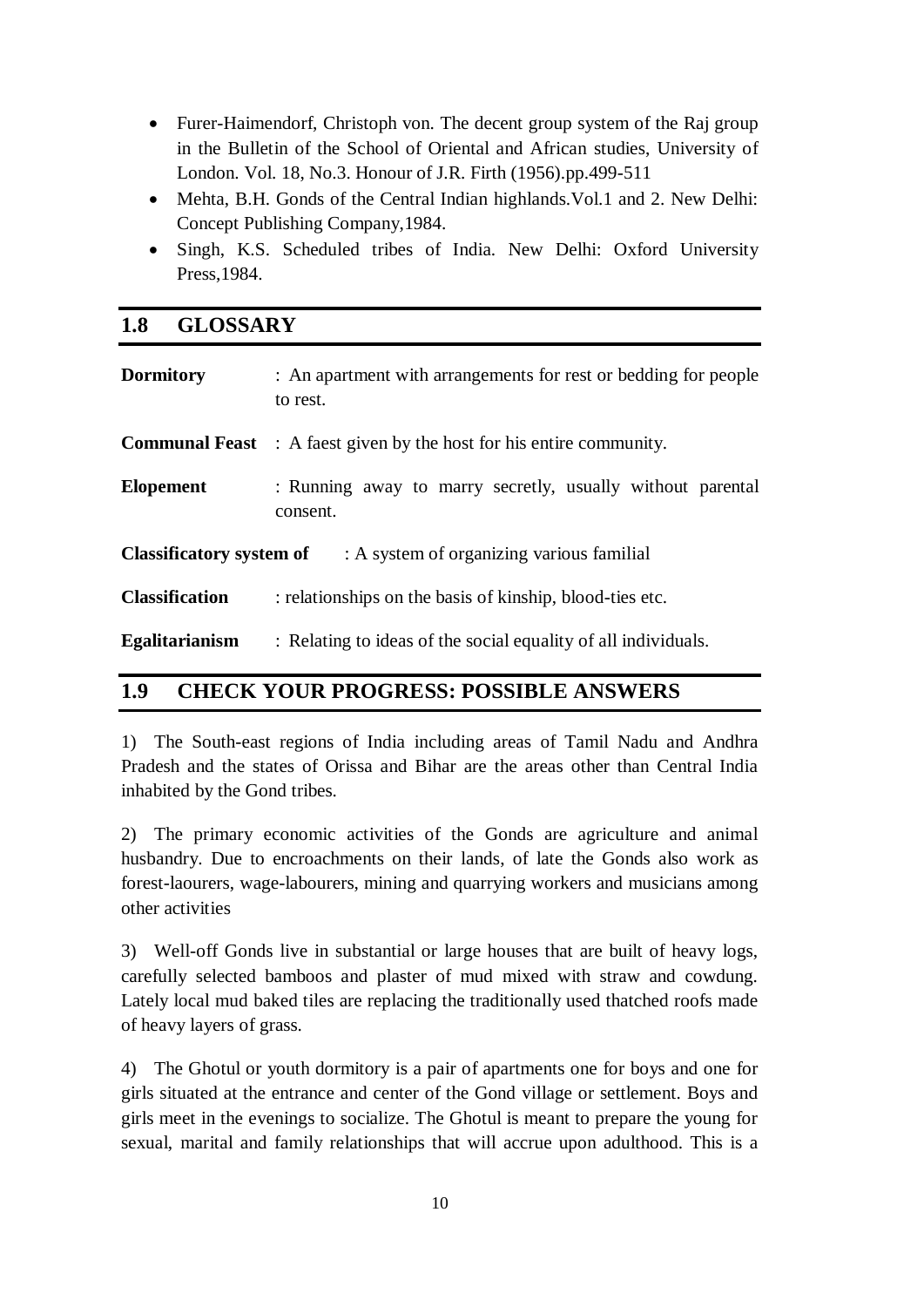Sue goa (played the with big round bean, by two groups of player kind of marble game),

Ja'kol ka'la (played in groups, kind of chasing and catching game).

Other games are different types of wrestling and cock fighting, which include A'ding sala, Jakdia, Akkaru-bidil-sala etc. Besides these games, the young boys of the Nokpantas also enjoys long jumps, high jumps, throwing big or small stones, running up and down the hills, climbing the hanging ropes, tug of war, pushing each other by means of piece of bamboo. The Garos also play modern games like football, volleyball, basket ball, table tennis and number of other games.

#### **Check your progress 2**

Note: 1) Your answers should be about each 30 words each;

- 2) You may check your answers with the possible answers given at the end of the Unit.
- 2) What are the utensils the Garo tribe uses for cooking?



# **2.4 THE NOKPANTE OR THE YOUTH DORMITORY**

The Nokpante or the bachelor's dormitory is one of the commonest institutions of the Garos. Almost every Garo village has its own Nokpante or Nokpantes. In the big villages, each clan has its own Nokpantes for the young boys, but in some small villages there is no Nokpante and the bachelors sleep either with their parents or in the house of an old widower. The Nokpante is entirely the dwelling house of the unmarried young men. Women are not allowed to enter the Nokpante, only on certain occasions like socio-religious festivals.

The construction of the Nokpante is a little different from that of the ordinary family houses. The special features of this construction are that it is very strongly built and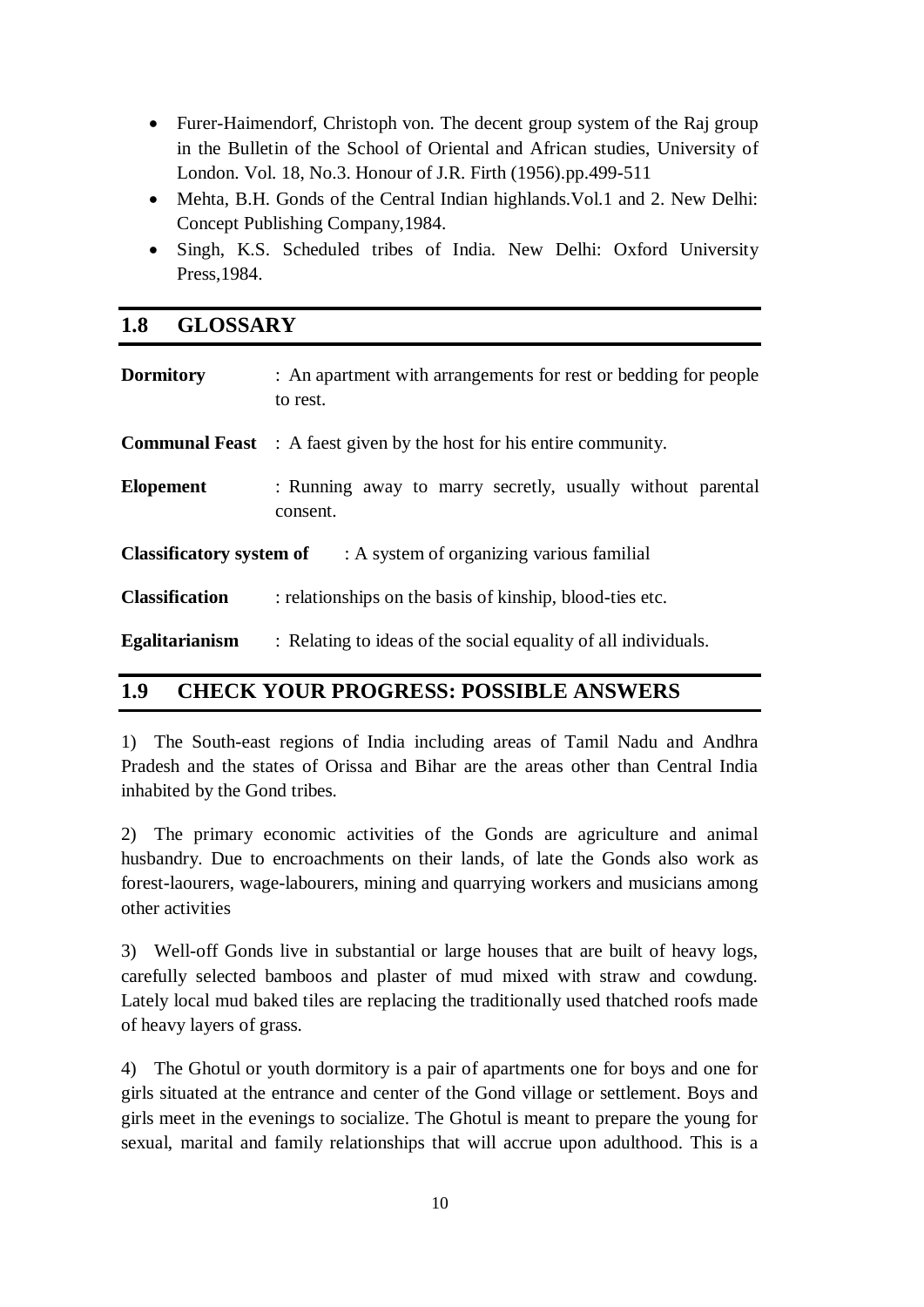usually much larger than the family houses. There is no sidewalls from the front up to about the half of its length, only rear half of the building has sidewalls connected with the backside walls. There are two doors; one in front and the other in the back side of the house. The bamboo floor is ten or twenty ft. high from the ground and a ladder helps one to climb up in Nokpante. Along the ladder a big and long cane stalk is hung from the roof of the house and it is used as support for climbing up and down. The ladder is a big log of wood with steps cut on it. Big timber posts of big trees are used for construction of the Nokpante. These posts are crossbeams. They are decorated with colored paint or carved designs of male and female human figures. In some Nokpante, pig heads and elephant tusks are also hung from the beams. In side the Nokpante house, a rectangular hearth is constructed where fire is lit during the winter to keep themselves warm and also to roast pork and other meat products.

The Nokpante is divided into two parts-one in the rear with enclosed walls forms the sleeping room and the other part is the verandah. The verandah is used as a sort of school room for learning various arts and crafts such as woodwork, cane carving, and bamboo design. Young boys about the age of seven or eight years are sent to sleep in the Nokpante at night. They usually go there after supper and spend the time chatting about their agricultural works, their experience in the weekly markets, love affairs etc.

In the Nokpante, young boys learn to play musical instruments, dance, sing from their older ones. There is also regular practice of gymnasium, wrestling, high jump and other games. Other then these, young boys are taught to be discipline and sense of duty. Tasks include collecting firewood, and fetching water. They are also told not to travel outside their family houses at night except on festivals.

Besides being used as an entertainment center, learning institution and community hall, the Nokpante is also used as a courtroom where the Nokma or Laskar holds his court. The villager hold important social meetings in the Nokpante. The married men of the village go to the Nokpante at leisure also some time to make baskets, mats, fishing nets. The Nokpante is also served as a place to entertain visitors of the village.

#### **2.4.1 Marriage**

There are various forms of marriage among different divisions of the Garos, out of them the **Do'sia** marriage happens in the presence of the parents, relatives of the both bride and groom. The priest takes a cock and a hen, holds them up so that their heads are close together and strikes them with a piece of wood. Then they are dropped on the ground. If both the birds lie on the ground with the beaks pointing towards each other, it is a good omen and if they lie the beaks apart, it is considered that marriage will be an unhappy one. Another type of marriage is **Marriage by capture**: in this type of marriage, when a girl attained the age of marriage and want to marry a particular boy, gives an indication to her parents or relatives. Then they would watch movements of the boy carefully and whenever they find and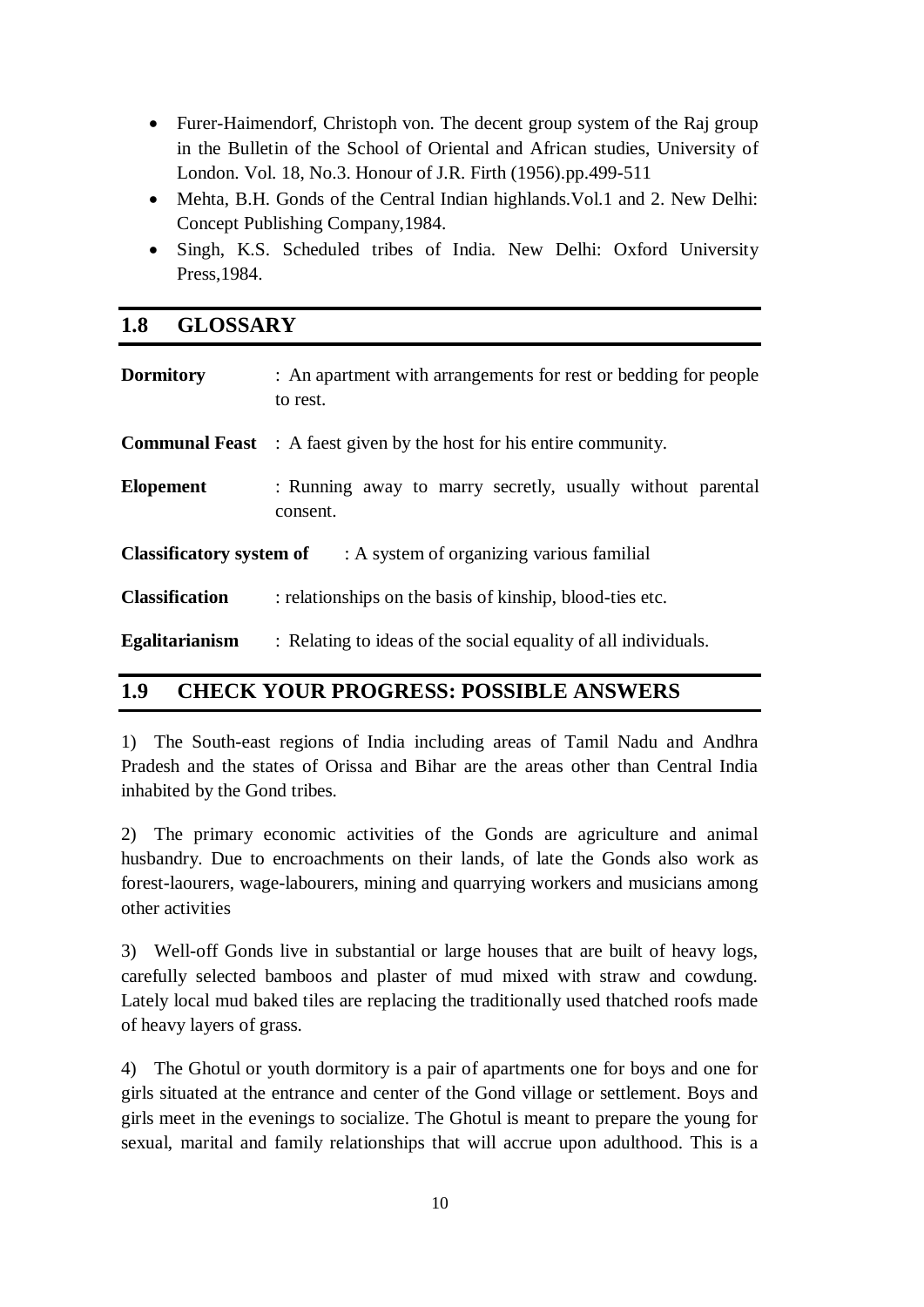opportunity, capture him unaware and bring him to the house of the girl where he is kept confined along with the girl for more then one night. If he makes noise, yells and tries to escape, then they consider it to be a good signs and that he would make a good and prosperous husband. But if not then they do not approve of it favorably.

### **2.4.2 Divorce**

Divorce is valid in the Garo society under the following circumstances;

- 1) when the husband and the wife cannot live together any more. They desire separation by mutual consent.
- 2) when either party is guilty of adultery or having a love affair with someone outside the marriage.
- 3) when either the husband or the wife refuses to work for the support of the household.

Besides these, disregard and unruliness on the part of the wife, incompatibility of temper and negligence of domestic duties are some other grounds for divorce. When a divorce is sought, compensation is taken in kinds like a *dakmanda* (a garo cloth worn by the women) and brass gong in olden times. Since, the British times, money has replaced the old Garo custom, the rate has been fixed at Rs. 60/-.

### **1.4.3 Adoption**

The Garo customary laws permit parents to adopt children under the following conditions:

- 1) when the parents have no daughters at all
- 2) when the parents have no suitable daughter to become a heiress
- 3) when the daughter, selected as a heiress, quarrel with her parents and run away and there is no other suitable daughter available.
- 4) the parents can adopt either a boy or girl, not necessarily for inheriting property

### **2.4.4 Laws of adoption**

Male children can not receive or even claim any part of the property which they themselves may have acquired by their own labour. After marriage, the right of the possession of the family property is passed down from mother to wife; she becomes the "women" of the new home and its future mother. On the day of marriage the groom leaves his parents house and goes to his wife to form a new family. Their children will take their mother's surname.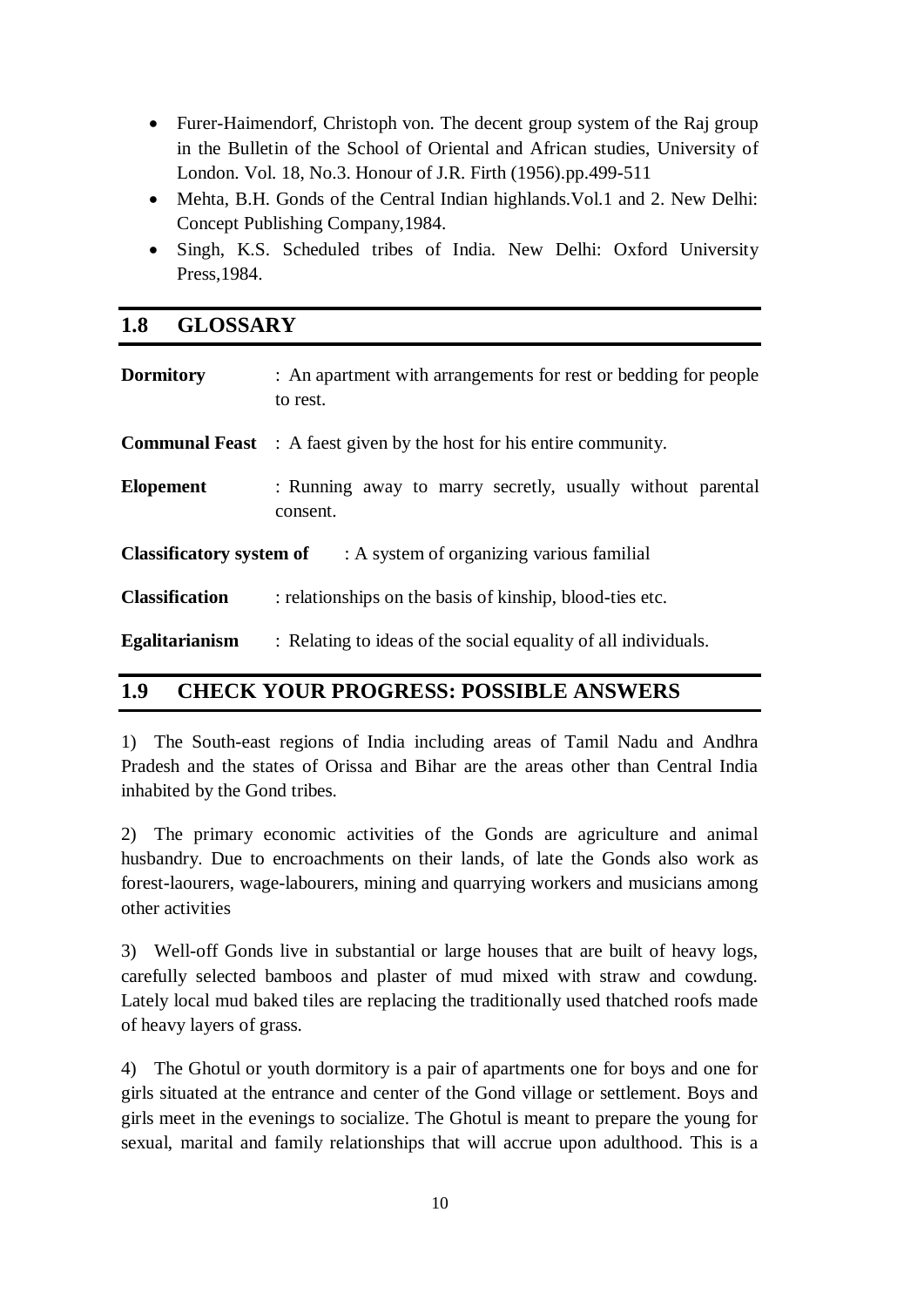### **2.4.5 Birth**

The Garos observe the birth of a child, in a ritual known as A'kawes. This ceremony takes place after a child is born. In this ritual an animal or a fowl is sacrificed by the priest. The priest recites a long incantation to avert the influence of evil spirits. The priest sprinkles rice in the floor of the house and around the child, then chant to remove evil spirits. The name the child after their ancestors but some cases they do not give the name of the relative who dies recently.

# **2.4.6 Funeral**

The Garos usually burn their dead and the ceremony takes place at night. But there are certain funeral rule such as a leper is not burnt but buried. In olden days, the lepers were isolated in huts and in the last stages of the disease; in case of death, they burn them with their huts. A person who is killed by a tiger is cremated but cremation takes place in the day time. Moreover, the dead body would not be taken into the village and body will be cremated at the place where he was found dead. Besides that, no formal ritual would be done for the dead, all his belonging would be destroyed as they consider that it is taboo to make use of them after such an unnatural death.

Normally, when a person dies, all the relatives are informed and if they live nearby, then the cremation takes place immediately. But if the relative live at distant places then the dead body will be kept indisposed for two or three days. Before cremation, in the case of a rich person, the dead body is placed among a row of Gongs and other valuables, but if the person is poor, then is laid down upon the bamboo floor. The dead body of a rich person is washed with undiluted liquor and poor person's body is washed with water. The funeral pyre consists of four upright wooden or bamboo posts in a rectangular shape within logs of piled wood. They usually use good quality wood for burning the body, because they believe if the corpse is burned with bad wood, the spirit in it reincarnated with bad health. After the cremation, the bones and ashes are collected in a basket and left in the jungle.

Among the Garo, who are Christian, they do not burn their dead but bury them and funeral ceremony is performed according to the Christian practices.

# **2.5 RELIGION AND BELIEF**

Originally, the religion of the Garos was a mixture of Pantheism and Hinduism. They were not animistic but they believed and presided over by the "Supreme God" as locally known as "*Dakgipa Rugipa Stugipa Pantugipa* or *Tatora Rabuga Stura Pantura*", or the Creator. It is in clear observation, the religion of the Garos is monotheistic with polytheistic stage, it lapsed into gross ritualism, in its highest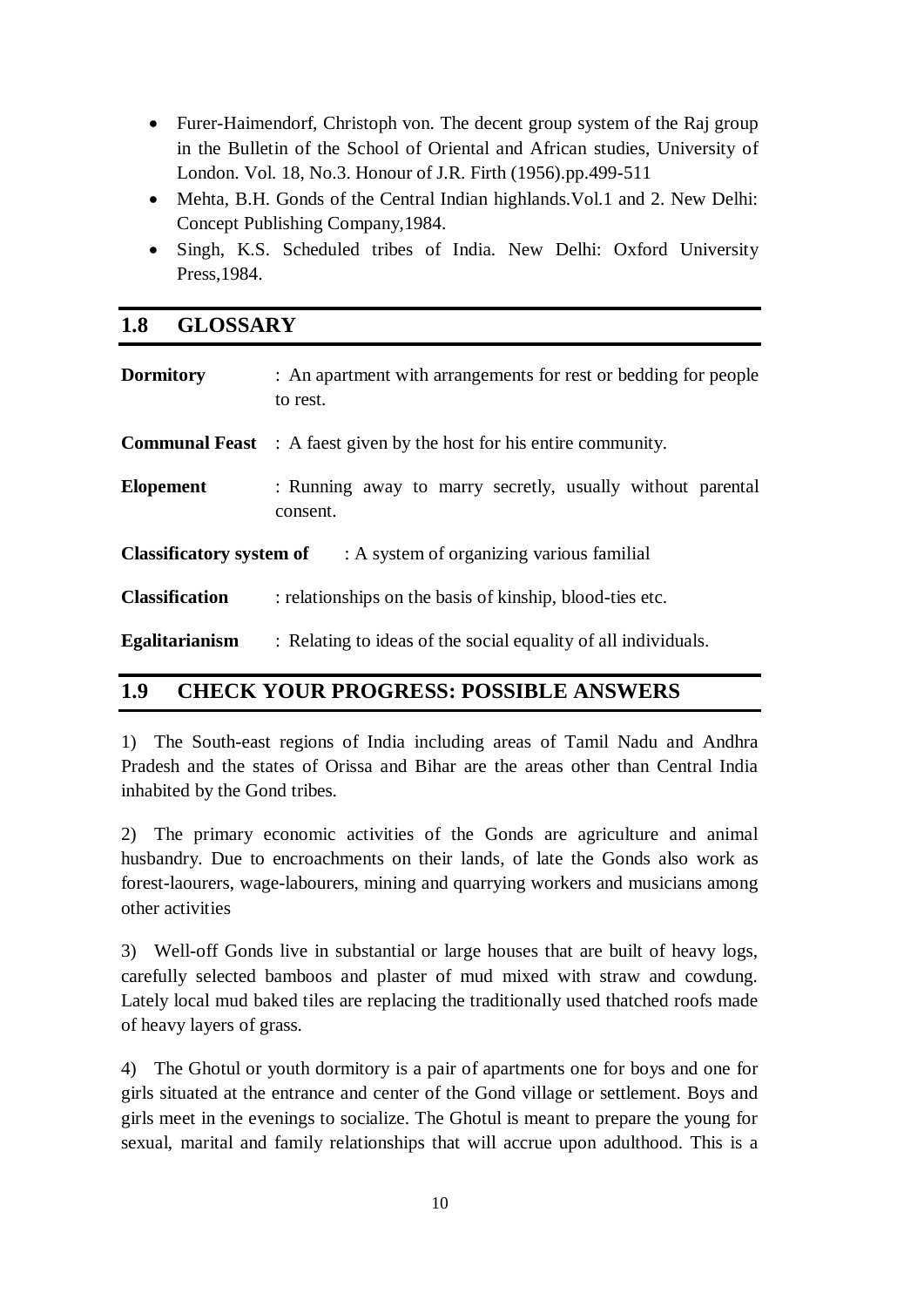consummate form, it is purely monotheistic in its origin. The Garos believed in creation of Earth, all living beings on earth and the sea, heavenly bodies, rain and the wind including lesser gods and thereby completed different objects within eight days, as they believed. This is the background of the religion, various festivals and the ceremonies of the Garos. According the Garo mythology creation of Earth, all living beings on earth and the sea, heavenly bodies, rain and the wind including lesser gods and thereby completed different objects within eight days, as they believed. This is the background of the religion, various festivals and the ceremonies of the Garos. The Garos believes that the creator of earth is *Tatara-Robunga*, other then that, there are the deities of *Choradubi* (protector of crops), *Saljong* (God of fertility), *Goers* (God of strength), *Susince* (Goddess of riches) etc. (source: http://westgarohills.nic.in/people.htm).

The Garos believe in the existence of a Supreme Being. They call all the good and evil spirit as "Mite", it covers all god, goddess, some lesser spirits. According to the Garos the spirit of Mite is everywhere-in the sky, on the earth beneath, in the depths of the waters, in the dark corners, mountains, trees and bamboo groves, river, lakes etc. there are different names of the Garo Mite such as; Tatara-rabuga, Saljong, Nostu-nopantu, Chorabudi etc.

The Garos believe in existence of a spirit in man which after death goes to a particular place i.e. the abode of the spirits. They also believe in trans-migration of souls, as a state of reward and punishment. The trans-migration means that when a man dies, his soul or his essence leaves the dying body and enters the body of some animal or human being at it comes into the world to begin its career. And the process may be repeated from generation to generation.

The Garos believe in natural phenomena like the thunder, lighting, earthquake, eclipse, wind, rain, shooting stars. They believe that each of these natural elements is controlled by a spirit and the object of their worship has to be done by offering sacrifice (Milton S. Herbert.1991. The history and culture of Garo).

Now most of the Garos are now Christians. The factor responsible for these changes are, the British rule from 1867 to 1947 that is almost 80 years. During that time Christianity entered the Garo Hills as a result of attempts made by the foreign missionaries and Western education was introduced in the traditional Garo society. Although, most of the Garo people converted to Christian religion but, some of the old ritual are strongly followed by the members of the newly converted society.

### **2.6 GARO ETIOLOGICAL TALES**

#### **The mother of salt**

The mother of salt was a very dirty-looking old hag. On her eye sockets, nostrils and cheeks hung filthy mucus secretions. Her whole appearance was disgusting but she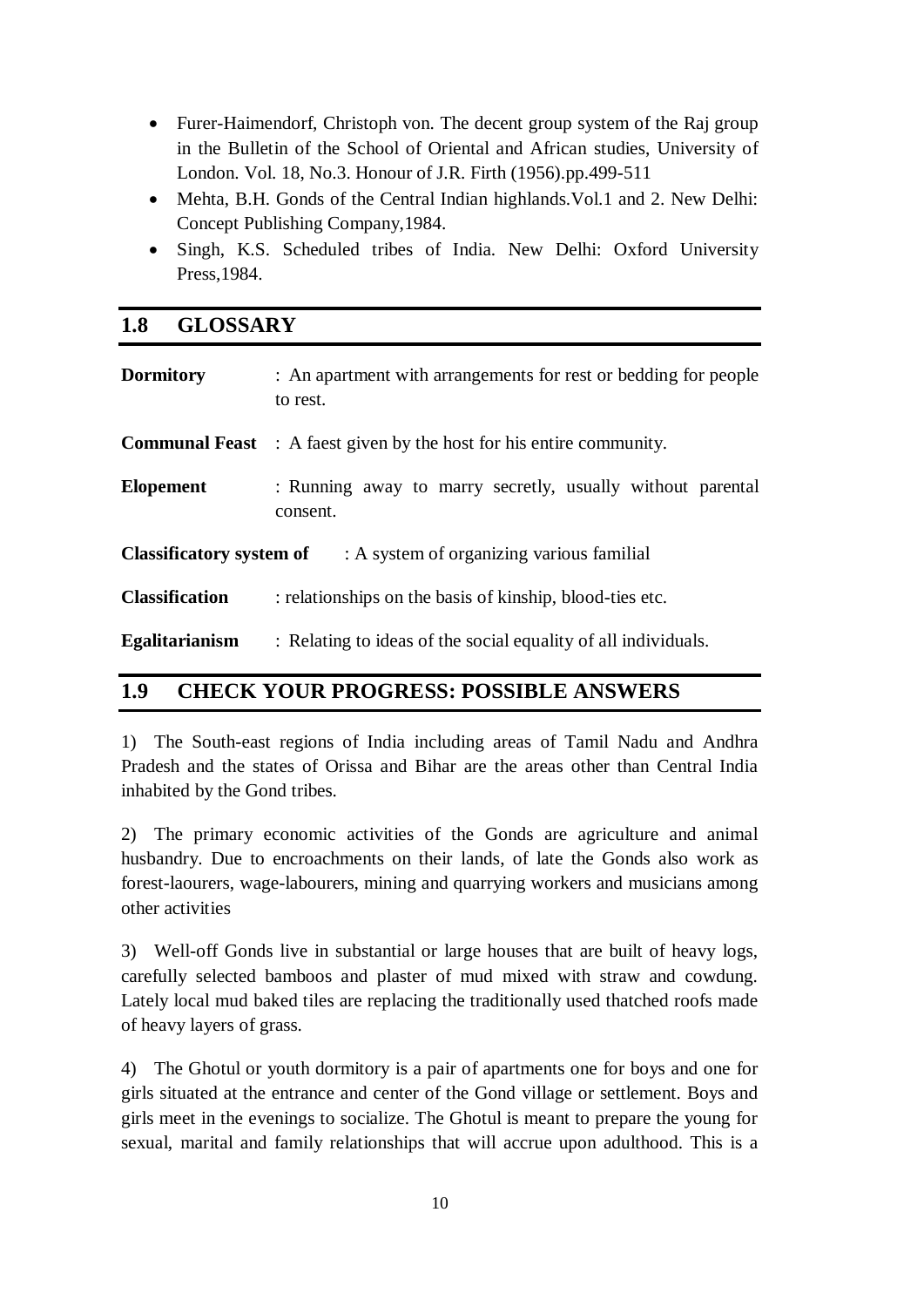was a grand cook. She could preserve every sort of delicacy in its pristine freshness and taste. No flesh ever decomposed and no foodstuff ever grew rotten under her skillful handling. However, both mother of the salt and terribly afraid of water. In fact she never bathed nor washed her hands, feet and face. She never hand handled water, but always used some sort of vessel when it was necessary to use it in the pursuance of her culinary art. Her daughter Karitchi was no less filthy.

Now, the son-in-law of the mother of salt had a special liking for the dishes of curry, soup, chutney, and so on prepared by her. But does not like both mother-in-law and wife's dirty appearances, one day he asked them to take bath. He gave them long sermon on the virtues of cleanliness; but it had no effect on them. They staunchly refused to go near the river then he decided to use force. He dragged both mother and daughter to the river side but Karitchi managed to escape from there. The son-in-law took mother-in-law into river and Karachi kept weeping seeing the cruelty and hardheartedness of her husband. As the mother went to the river; the mother of salt dissolved and vanished completely before her eyes, after that incident the daughter wandered about the wild woods shedding tears, seeking consolation from the trees, plants and herbs. The trees and plants and herbs on which her tears fell became saturated with potash. She traveled on broken-heartedly and at last came to Aema Ditema Songduma Sagalma (the Ocean), to which the remain of her mother were carried by the river into which she was plunged. Karitchi, still weeping, leaped into water to discover the spirit of the mother of salt. Her congealed tears become pearls inside ocean (Birendranath Datta, Nabin Chandra Sarma, Prabin Chandra Das .1994. A hand book of folklore material of North-East India. pp.285-286).

#### **Check your progress 3**

**Note:** 1) Your answers should be about 30 words each;

- 2) You may check your answers with the possible answers given the end of the Unit.
- 4) What is Nokpante?

.................................................................................................................................... .................................................................................................................................... .................................................................................................................................... .................................................................................................................................... .................................................................................................................................... 5) Who is "Mite" ? .................................................................................................................................... .................................................................................................................................... .................................................................................................................................... .................................................................................................................................... ....................................................................................................................................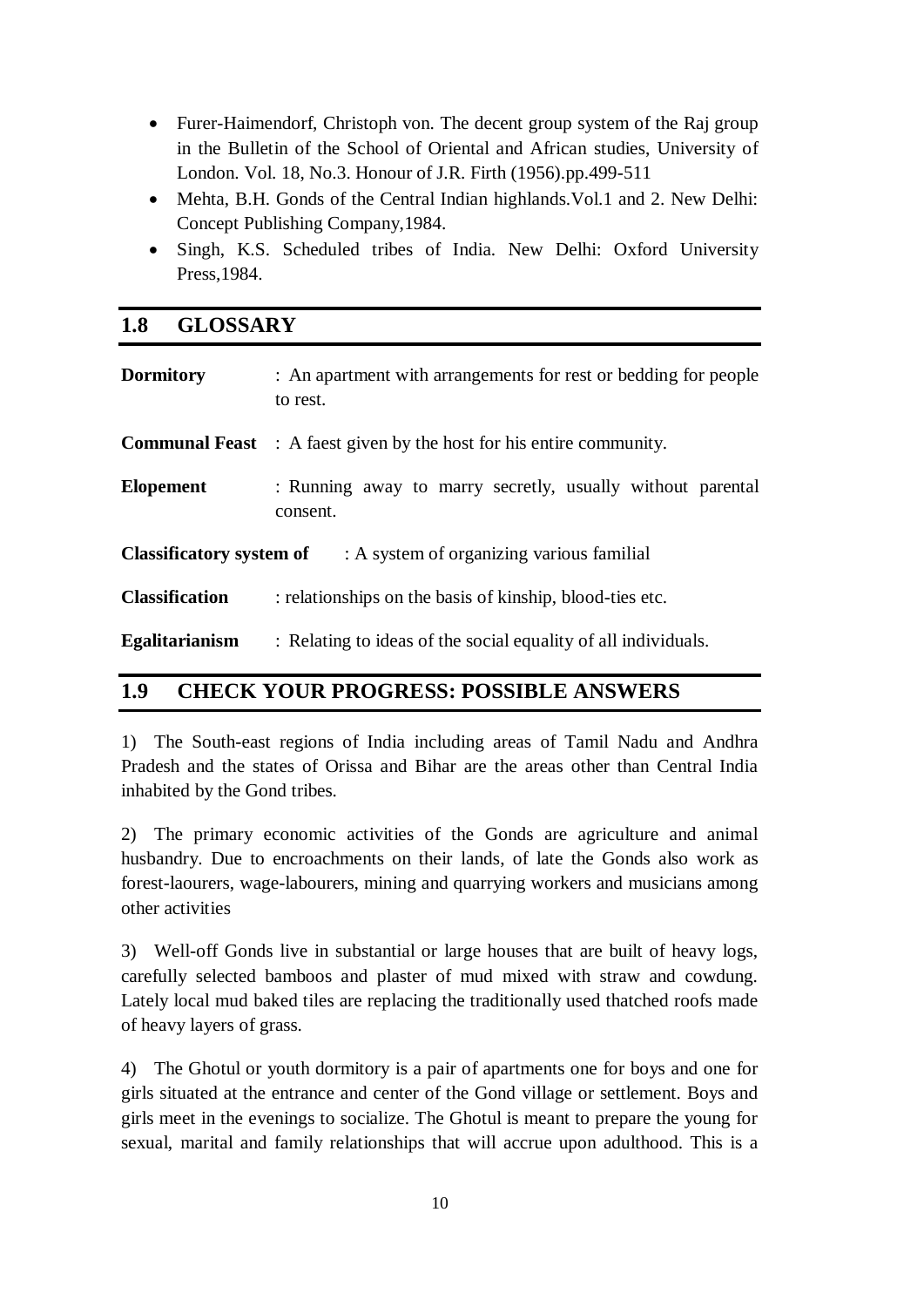# **2.7 LET US SUM UP**

The study of the Garo tribe, a branch of the Mongolian group are one of the important tribes of North East India. In the above mentioned article; we have given a general idea of the Garo tribe from the point of their social-cultural life and traditional beliefs. It may be noted that the most of the ritual and ceremony observed by the Garo people living in different parts of the North-east varies from each other. Here, we are giving a picture of a traditional Garo society, but there are many changes that have been taking place in the Garo society since then. The factor responsible for these changes are, the British rule from 1867 to 1947 that is almost 80 years. During that time Christianity entered the Garo Hills as a result of attempts made by the foreign missionaries and Western education was introduced in the traditional Garo society. Although, most of the Garo people converted to Christian religion but, some of the old ritual are strongly followed by the members of the newly converted society. They celebrate various religious and nature festival around the year for performing jhum cultivation. The Garo have a matrilineal society, where husband lives in wife's house after marriage and their children takes mother's surname, that an unique example of power of women (Milton, Sangma S. 1979. The history and culture of Garo)

# **2.8 ACTIVITY**

We have together discussed about the Garo tribe. Try to write down from your memory any of the cultural activity and myths of the Garo tribe that you may have attended or read in books or journals.

# **2.9 REFERENCES FOR FURTHER READINGS**

- http//westgarohills.nic.in/people.htm
- Datta, Birendranath, Das, Prabin Chandra and Sarma, Nabin Chandra. (eds). A hand book of folklore material of North-East India. Guwahati: Anundoram Borooah Institute of Language, Art and Culture, Assam. 1994.
- Herbert Risley. The people of India. New Delhi: The Munshiram Manoharlal Publishers Pvt. Ltd.1991.
- Sangma, Milton S. The history and Culture of Garo. New Delhi: Book Today. 1979.
- Singh, K.S. The scheduled tribes. New Delhi: Oxford University Press. 1984

# **2.10 GLOSSARY**

**Jhum** : shifting cultivation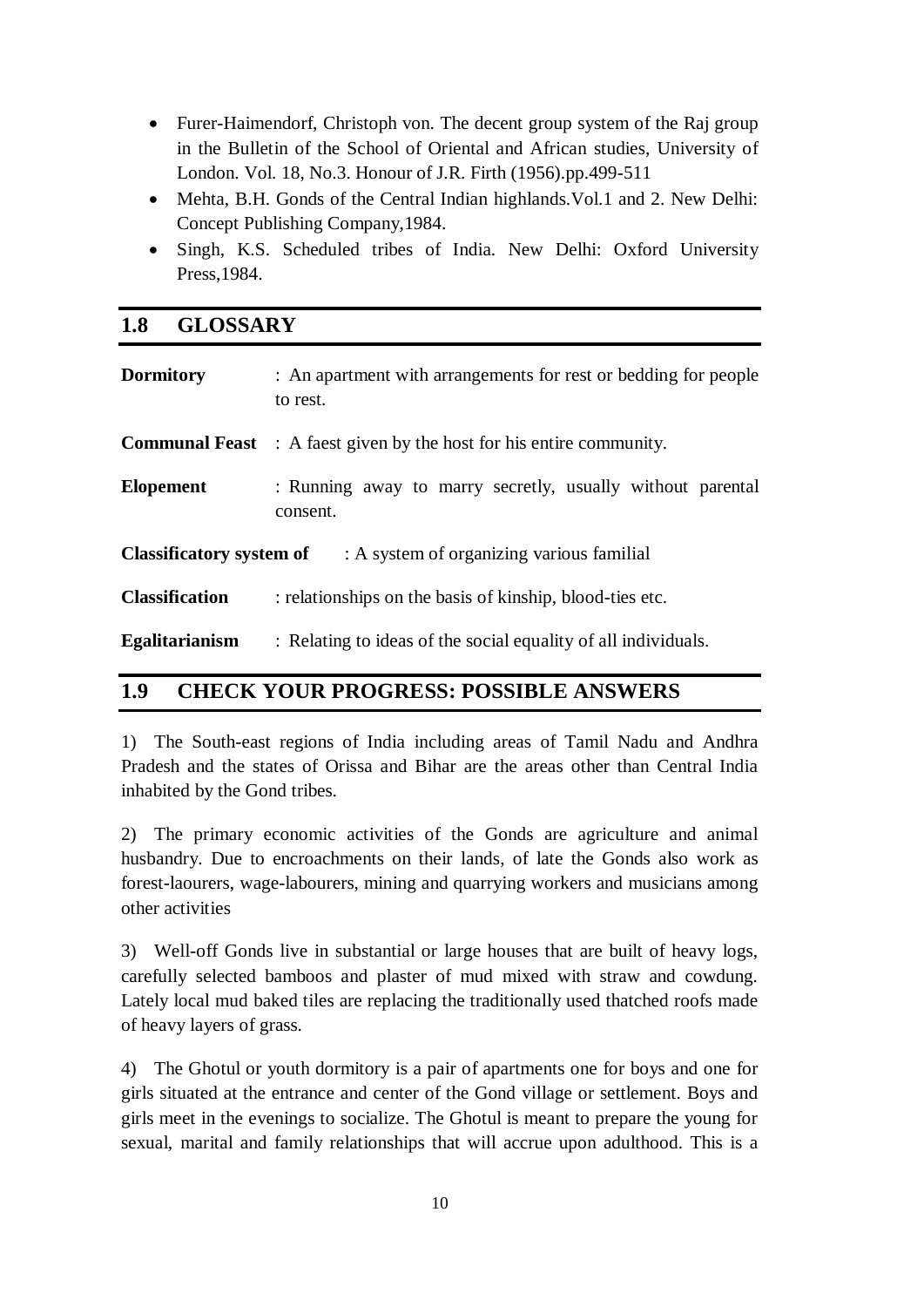**Matrilineal :** society in which a female is head of the family and decent is traced through the mother not by father. All property belongs to the women, remains with her till she is alive and is passed on from mother to daughter.

# **2.11 CHECK YOUR PROGRESS: POSSIBLE ANSWERS**

1) The Garos belong to the Garo Hills from one of the major constituent tribal population the state of Meghalaya in North East India. Apart from the Garo Hills, there is large number of the Garos live outside the Garo Hills district.

They are found in the all over the Brahmaputra valley and other hill districts of north-east India. Other than these they are also found in Mymensing district of Bangladesh.

2) The Garos use limited utensils mainly of cooking pots, large earthen vessels for brewing liquor, the pestle and the mortar with which paddy is husked. They have bamboo baskets of different shapes and sizes and few cutters and knifes. Dry gourds are used for carrying water from streams and for drinking; a number of these gourds are of various shapes and sizes. The gourds are allowed to dry and are then converted into water-bottles by the process of cutting a hole and shaking out the seeds.

2) The Garos have variety of musical instruments like drums, gongs or rang, cymbals etc.

Drums types**:** there are several big and small types of drums played by the Garos and they are dama (long narrow drum), kram (larger drum than dama), Nadik (small wooden drum), nagara (large drum).

Flute types: the Garos play different types of bamboo flute such as Otokra (long bamboo flute), Ilongma (small bamboo flute) and Bangsi (bamboo flute much smaller than Otokra and Ilongma), Imbingi (flute made of short piece of thin bamboo).

Gongs or Rang: the Rang or gongs are brass metal plates or basins. Besides playing as musical instruments, they are also uses as a Gold reserve, because in the Garo society men of wealth and social standing are measured by the number of Rangs one possesses.

Cymbals types: the Garos play two kind of cymbals: Kakwa (small brass cymbals) and Neggilsi (smaller than the former one, made of brass).

Besides these musical instruments, there are Gongmina or jews' harp (made of thin slit of bamboo), Adil (small wind instrument made of buffalo horn) and Singga (another type of buffalo horn).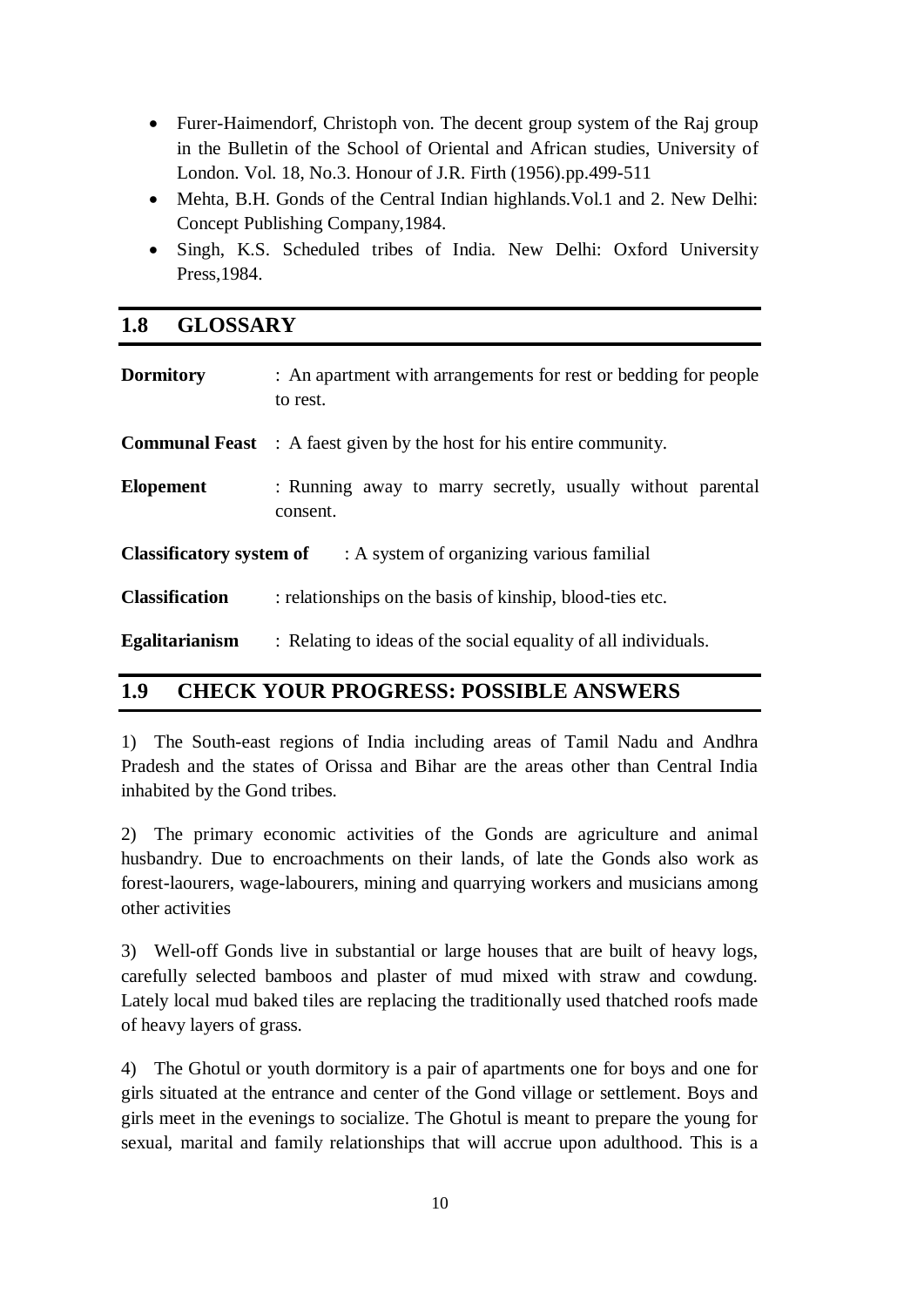4) The Nokpante or the bachelor's dormitory is one of the commonest institutions of the Garos. Almost every Garo village has its own Nokpante or Nokpantes. In the big villages, each clan has its own Nokpantes for the young boys, but in some small villages there is no Nokpante and the bachelors sleep either with their parents or in the house of an old widower. The Nokpante is entirely the dwelling house of the unmarried young men. Women are not allowed to enter the Nokpante, only on certain occasions like socio-religious festivals.

5) The Garo believes the good and evil spirit as "Mite", it covers all god, goddess, some lesser spirits. According to the Garos the spirit of Mite is everywhere-in the sky, on the earth beneath, in the depths of the waters, in the dark corners, mountains, trees and bamboo groves, river, lakes etc. there are different names of the Garo Mite such as; Tatara-rabuga, Saljong, Nostu-nopantu, Chorabudi etc.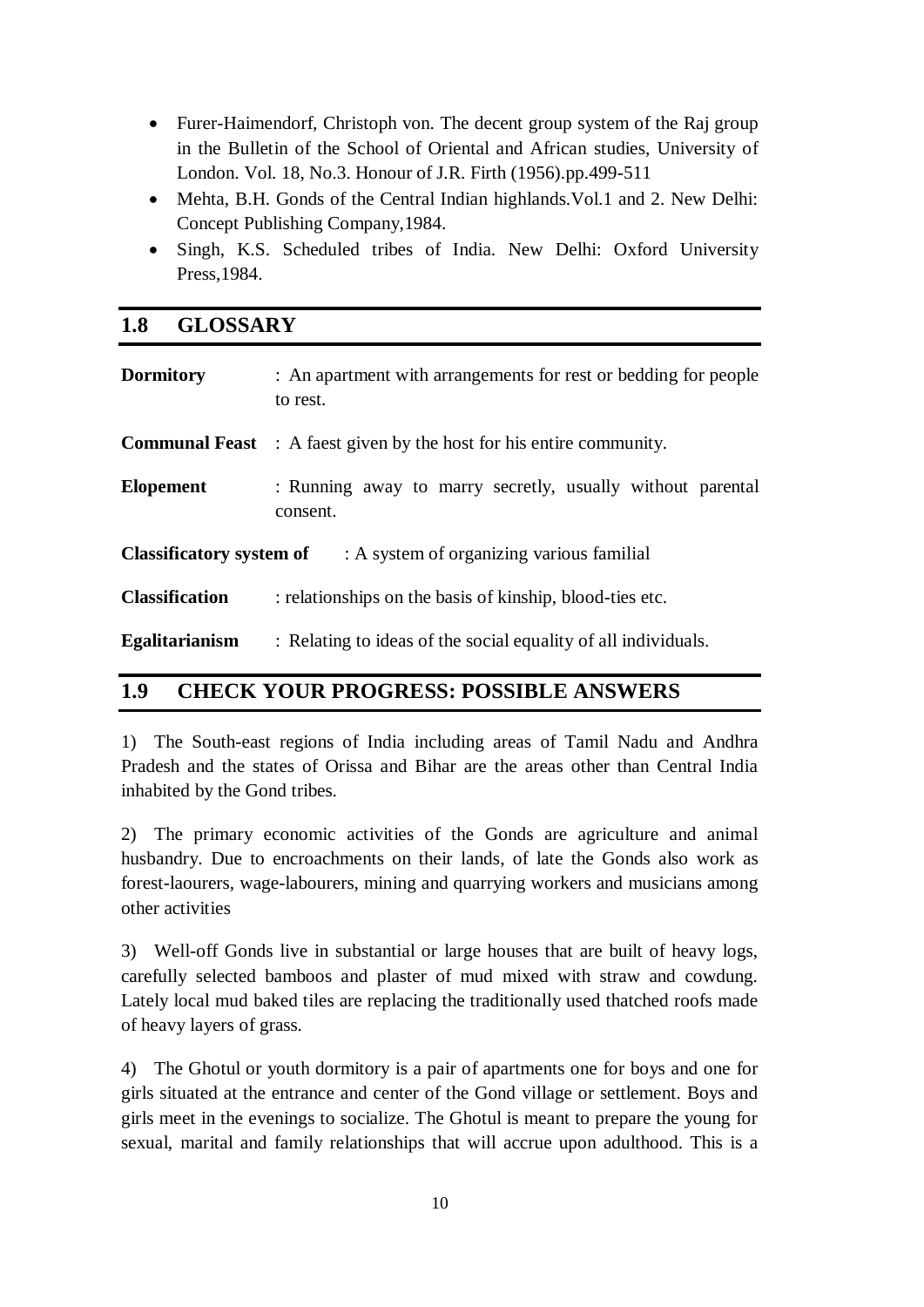# **UNIT 3 : MIGRANT TRIBES / NOMADS**

#### **Structure**

- 3.0 Objectives
- 3.1 Introduction
	- 3.1.1 Definition of nomads
	- 3.1.2 Characteristic of nomads
- 3.2 Food habits of nomads
- 3.3 Gypsies
	- 3.3.1 Sea gypsies
- 3.4 Classification of nomads
	- 3.4.1 Food gathering nomads
	- 3.4.2 Pastoral nomads
	- 3.4.3 Trader nomads
	- 3.4.4 Mendicant nomads
- 3.5 Case study: Banjara tribe 3.5.1 Origin and myths
- 3.6 Let us sum up
- 3.7 Activity
- 3.8 References and further readings
- 3.9 Glossary
- 3.10 Check your progress: possible answers

# **3.0**. **OBJECTIVES**

After having read this Unit you will be able to:

- explain about nomads;
- discuss about the characteristics of Nomad and their food habits;
- list the different types of Nomads and their life style; and
- explain about the origin and myths of Banjara tribe.

# **3.1 INTRODUCTION**

Nomads are found all over the world. It can be presumed that the early man was a nomad. Our remotest ancestors, who for millions of years were obliged to earn their livelihood through food gathering and later by hunting, must have lived as nomads. No other way method could have suited their environment, tradition and living conditions. "The term nomad is derived from the Greek word *"Nemo"* which literally means "to pasture". It was applied by the ancients to hunter/ gathers and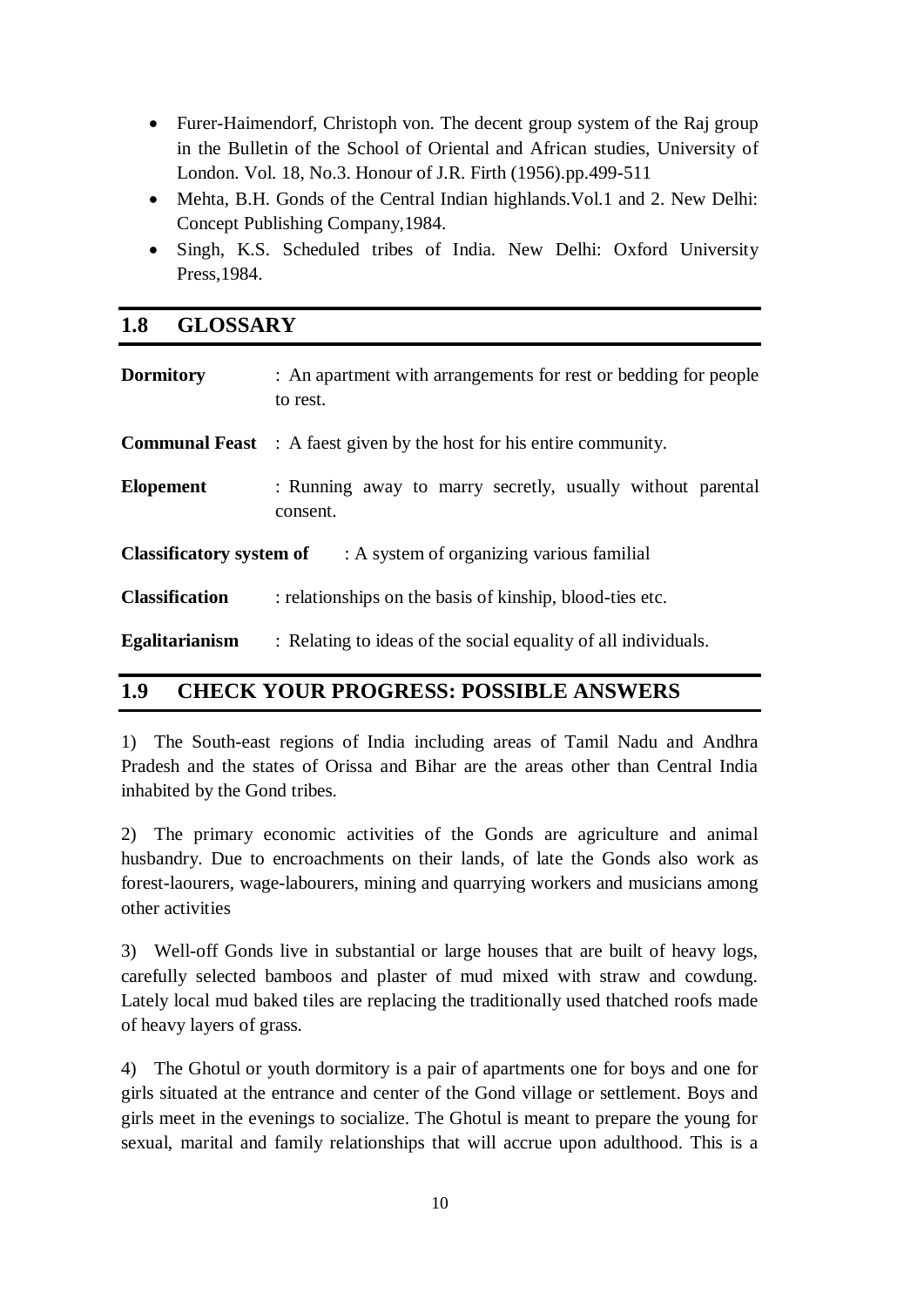herdsmen. These groups permanently or periodically wandered without any particular home or habitat, tending flocks of sheep or goats or herds of cattle; horses, mules, camels, yaks etc. Later, they began to trade in livestock, as is common now in Jammu and Kashmir, and in a few other Himalayan states. In Indian language a Nomad is denoted as "*Khanabadosh*" which means "a home on shoulders". (V.Raghaviah.1968.Nomads.pp. 47-52).

### **3.1.1 Definition of nomads**

The *Dictionary of Anthropology* defines a nomad as "a person who lives completely from his flock and does not domicile himself to plant". The Royal Anthropological Institute of Great Britain and Ireland, in their work **"**Notes and Queries on Anthropology" (sixth edition) describe nomadic people as "those dependent principally on hunting or collecting for their food supplies, having no permanent abodes". They further add that "it will generally be found, that the groups which habitually move about together, tend to be precisely defined, in terms of tracts of territory with which they are specially associated. A horde is a group of nomads, claiming exclusive hunting or grazing rights, over one or more defined areas, within which their wanderings are, as a rule, confined".

B.H. Mehta, from the Tata Institute of Social Science, Bombay, describes the nomads as "grass landers" and cattle breeders. He describes nomadism as "regular, seasonal or cyclical movements of groups for sustenance. According to food supply, it may assume different forms, depending upon topography and climate. There are nomads, who hunt, and nomads who collect food, as well as pastoral and even agricultural nomads. Nomads are usually found in small kin-bands. They are not only grasslanders, but take to nomadic life, on account of economic insecurity, and lack of will for social adjustment.

The Encyclopedia of Social Sciences (Vol. 11 and 12, pp. 390-392) defines Nomadism, as involving the repeated shifting for subsistence and undirected wandering, but is focused around temporary centers of operation, stability of which depended upon food supply and the state of technical advance. It assumes different forms, according to methods of obtaining food, topographic and climatic conditions.

Nomadic tribes are found all over the world. Nomads are born as well as made. Nomadism is a pre-pastoral trait of all early humanity, passing through the digging stick stage of transition and civilization. It was pre-pastoral pattern of life, universally practiced in every country; West and East.

### **3.1.2 Characteristic of nomads**

The following features can be considered as the main characteristics of nomadism.

1) Nomadism is a group or tribal trait, not an individual characteristic.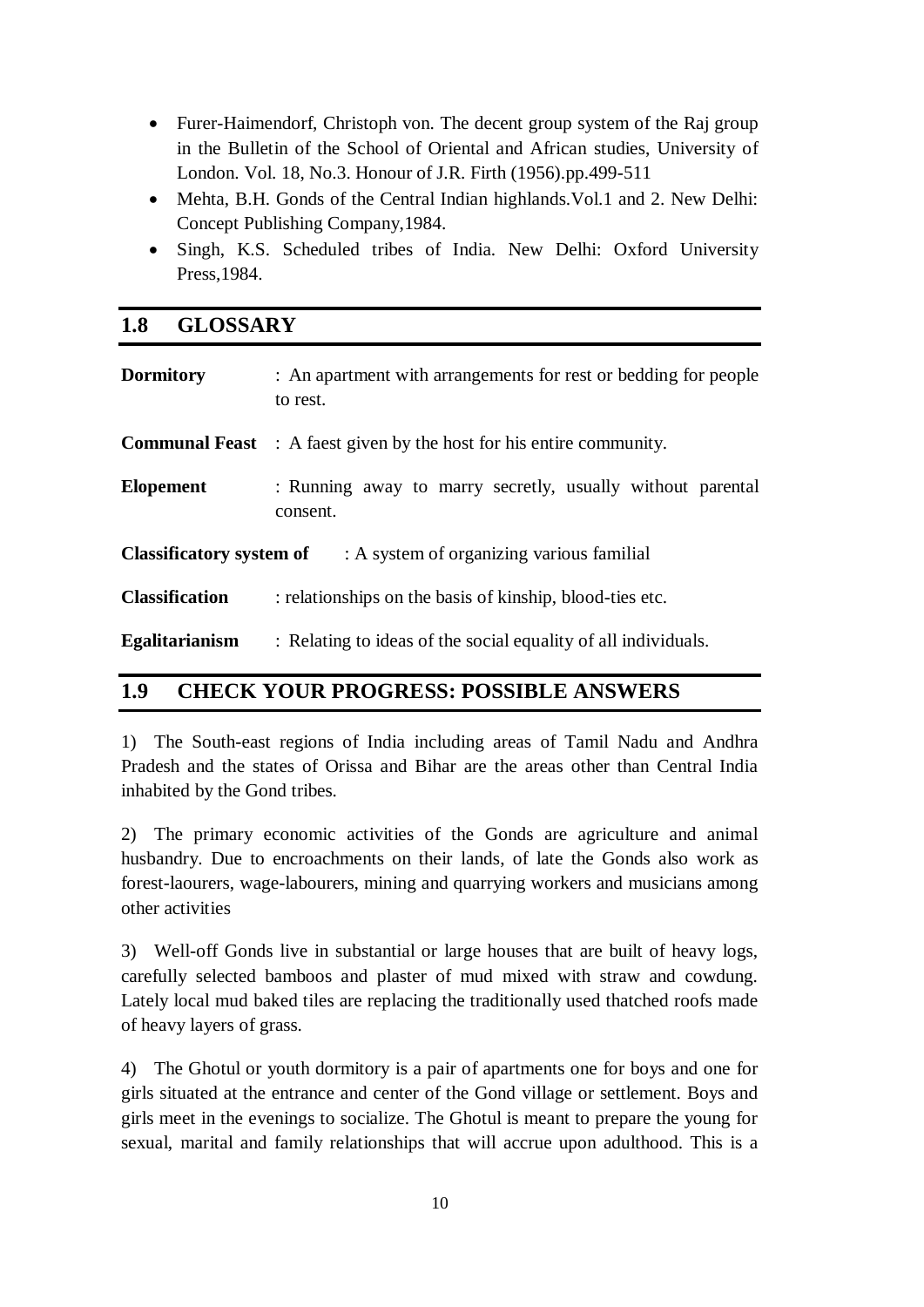- 2) Timidity; modesty bordering on timidity of publicity and contact with outsiders. For example: dislike of photography, fear of police and village officers.
- 3) Fondness for open-air life, resulting in hardiness that can stand all kinds of weather. Aversion to artificial embellishment, ornaments and clothing, and relying confidently on their natural beauty and body-build, which they expose to the fullest possible extent.
- 4) Absence of understanding the capitalistic values of time, money and economy.
- 5) Aversion to monotony in work and positive dislike to daily wage labour obtained in factories.
- 6) Dislike of change to economic modes common to industrialized, Western society.
- 7) Suspicion of all others except their closest kin group.
- 8) Aversion to allopathic medicine and a preference for natural cures. They enjoy work and rest alternately to relive boredom and are so well contented that they refuse to work on days when they have enough to eat.
- 9) Few personal possessions.
- 10) Bigger groups of Nomads are called "Dals" which consist of larger numbers of families, numbering 200 to 300 members led by women leaders called Mukhyas.
- 11) Nomads are honest, sincere and hard-working, are happy and enjoy life more fully than others.
- 12) Like other tribes, they uses weapons like bows and arrows for hunting. They are very skillful hunter. (V.Raghaviah.1968. Nomads. pp.53-55).

#### **Check your progress 1**

**Note:** 1) Your answers should be about 30 words each;

- 2) You can check your answers with possible answers given at the end of the Unit.
- 1) What do you understand by the term "nomad"?

................................................................................................................................... ................................................................................................................................... ................................................................................................................................... ................................................................................................................................... ...................................................................................................................................

2) Write few characteristics of the nomads

................................................................................................................................... ................................................................................................................................... ................................................................................................................................... ................................................................................................................................... ...................................................................................................................................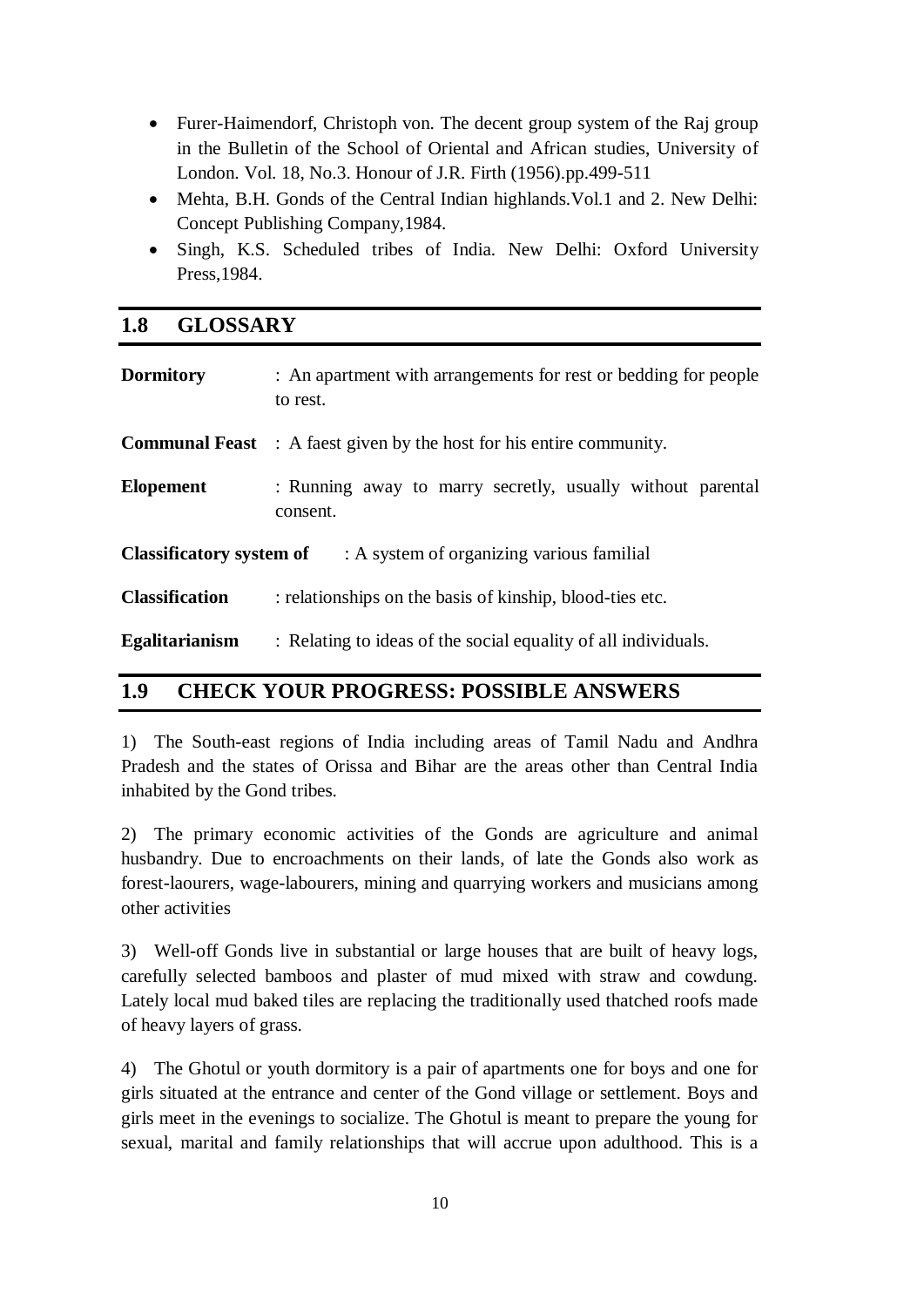# **3.2 FOOD HABITS OF NOMADS**

The food habits of the nomads are dependant on their living conditions and environmental constraints, as well as the seasonal patterns of migration. Their eating habits are constructed by the environment in which they live. Walden observes "collecting the wild fruits of earth, and hunting its wild life for food are the simplest ways of earning a living. Life among the hunting tribes is one long struggle for food, broken by short periods of over-eating, sleeping and rejoicing. The hunting people have the least understanding of nature, and know least how to use her laws for comfort and support. There is truly a battle with nature, in which they are often the losers, for they are slaves of their environment. Only the simplest of the people living in the really luxurious zones of the earth's surface remain in the purely hunting stage for long, the step to primitive cultivation being an easy one if circumstances permit". Here are five examples of such tribes, the Semang and Sakai of Malaya, and the Pygmies of the South America, who subsist mainly on wild roots resembling potatoes, berries, the wild African banana, bread fruit and durain.

# **3.3 GYPSIES**

The Gypsies are "a nomadic Caucasian minority race in Hindu origin". According to Bhikshu Chaman Lal, writer of Gypsies-Forgotten Children of India (1962), the gypsies regard India as their motherland and believe that they originally emigrated from India when "barbarians invaded our motherland". Bhikshu Chaman Lal who met the gypsies frequently in his travels, particularly in Yugoslavia, Bulgaria, Hungry, Czechoslovakia, France, England, Spain, Germany, Sweden, Russia and United states of America, believe that they belong to the Aryan stock of Punjab, Sind, Saurashtra, Rajputana and Malwa. The folk songs of the Hungarian gypsies, the system of panchayats, marriage customs, and thousands of gypsy words, prove the Hindu origin of the gypsies.

There are a number of theories available as to the period and causes of the gypsy migration from India. Some scholars believe that the earliest migrations might have occurred during Alexander's invasion in 326 B.C. Others believe that the invasions of Muhmood of Gazhni in the 11th century resulted in enslavement of millions of gypsies from the North and North Western India, who were carried away by the ruthless conquerors. (V.Raghaviah. 1968. Nomads. pp.77-78).

### **3.3.1 Sea gypsies**

The sea gypsy people live for most of the year in boats, like the Mawken tribe. It is stated of them that they had been driven to this plight owing to several adverse circumstances, one of which had been their expulsion from the land by superior warlike people since more than a century, on the South Burma coast. Several Chinese in the Canton Coastal state, live in boats, so that the small patch of land they used to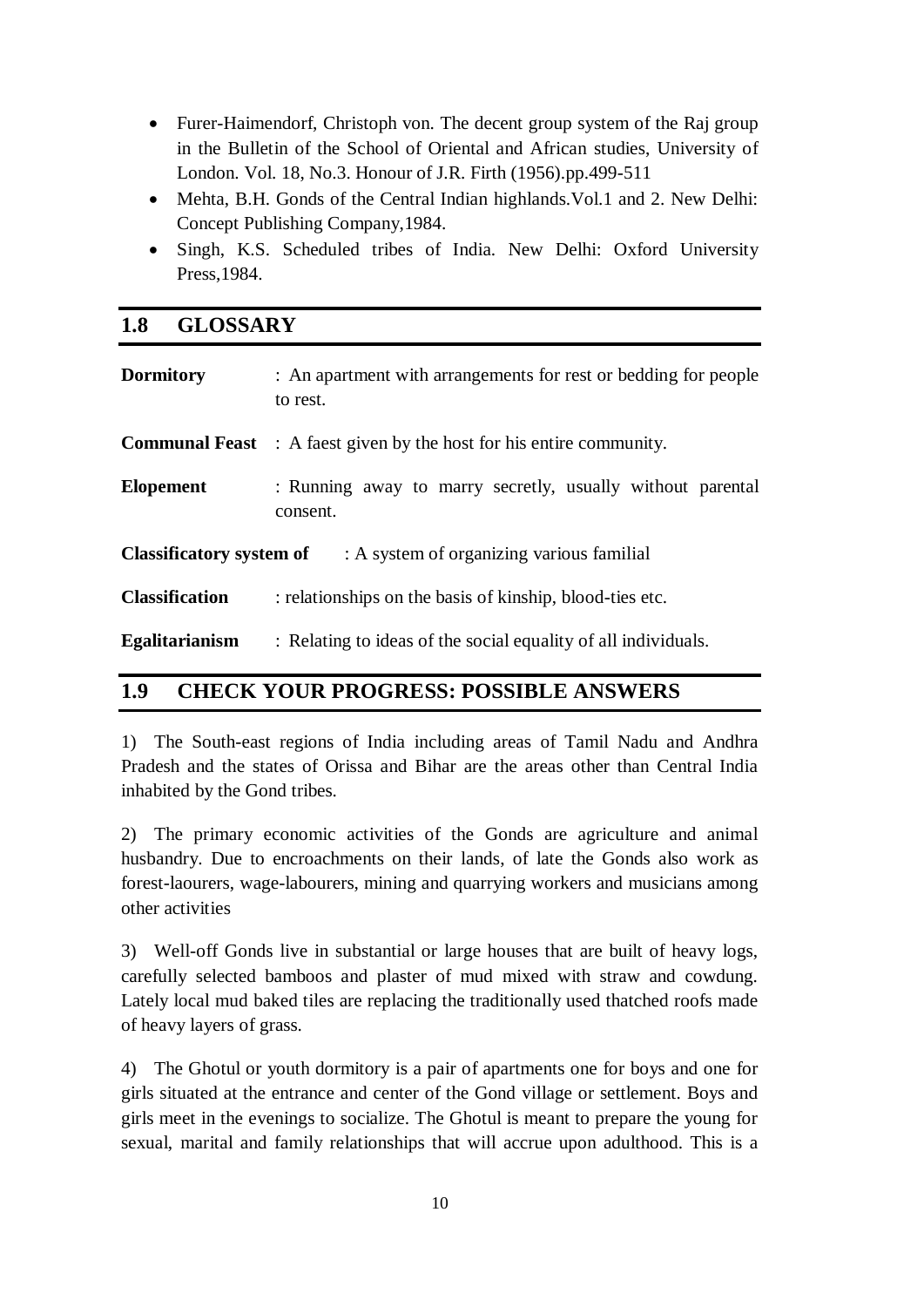occupy for house-sites might grow rice, so much in short supply to meet the teeming millions of populous China. Several Chinese, perhaps do not have any sites at all. (V.Raghaviah.1968.Nomads.pp. 73)

### **3.4 CLASSIFICATION OF NOMADS**

Nomadic groups found all over the world can be divided under the following division. They are:

- Food gathering Nomads
- Pastoral Nomads
- Trader Nomads
- Mendicant Nomads

### **3.4.1 Food gathering nomads**

The searches for food dominates their lives and occupies most of their time, if not all their waking hours, the hunting and collecting people all over, have been called food gatherers. Nomads engaged if food gathering pursuits as opposed to food producing i.e. agricultural activities can be brought under this category. They can be more aptly called cultural nomads, as nomadism is an inseparable part of their culture, handed over from pre-historic times. Some of the foods gathering nomads of India are Challa Yanadi of Andhra Pradesh, the Malapandaram of Kerala, and the Bihor of Bihar etc. An example of food gathering nomads is given below:

#### **Case study: the Malapandaram of Kerala**

According to A.A.D. Luiz's records in his book "Tribes of Kerala" The Malapandarams inhabit the high ranges in Kottayam and Quilon districts in the Achen Koil, and Sabarimala hills and forests, and are primitive hunters and food gatherers, "Preferring to roam unnoticed by the advanced society". It is indeed a very rare privilege, as Luiz states, to establish any contact with this most elusive group of primitive people. Luiz describes their day-to-day life in the following order. The Malapandaram have one important meal and that is at dusk. They collect, till produce, hunt fish and catch tortoise from the Pamba river and forest streams. Herbs, roots and the yam found in the forests, form the principle part of their diet. Collecting honey is done at nights and fishing is done by poisoning streams with the bark of wild trees. A digging stick and bill-hook are their chief implements. They are conversant with the use of the bow and arrow, blow pipe, spear, traps, nooses and snares. They are fond of pets, especially the parish dog which accompanies them in all their wanderings. They are known to live in caves, under overhanging rocks and in the hollows of trees during their temporary halts. They keep the fire glowing through the night. Before starting to use matches, they made fire with *"*Chakmuk*";* rubbing stones or bamboo.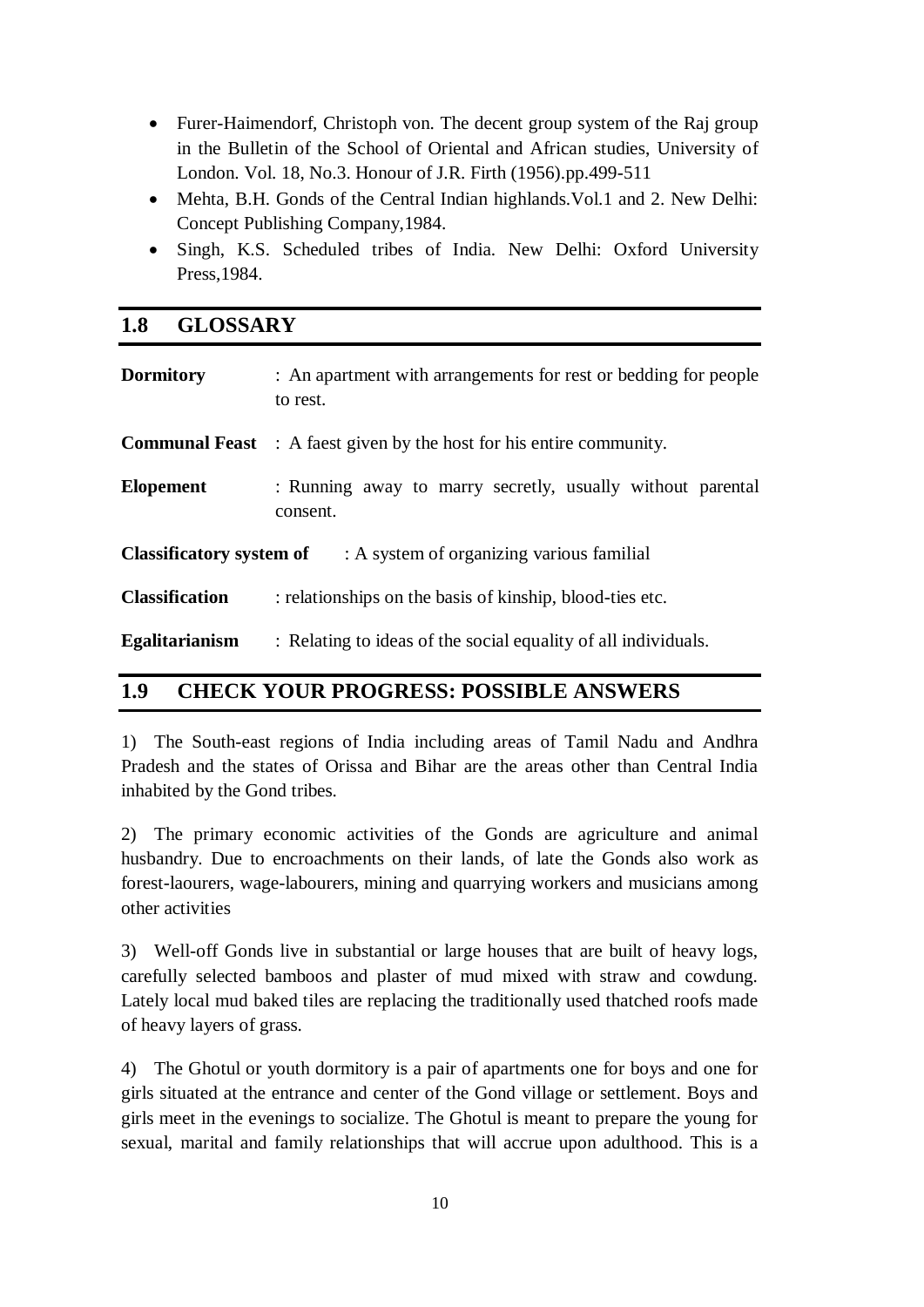The Malapandarams are animists worshiping hills, trees and streams as even enlightened Hindus still do, throughout India. They do not bury or cremate their dead, but simply leave the corpse where death occurs and shift away. They sometimes use the bark of trees for clothing. (V.Raghaviah.1968. Nomads.pp.120- 122).

### **3.4.2 Pastoral nomads**

Pastoral nomads wander their entire lives and depend upon nature's bounty for their living. The Pastoral nomads of India are concentrated in hilly and forest areas, and are rarely seen in the plains. They are found in large number in the North-Western states of India, namely Kashmir, Punjab, western Uttar Pradesh, Himachal Pradesh and, to a certain extent in Rajasthan. An example of Pastoral nomads is given below;

#### **Case study: the Todas**

These are pastoral nomad tribes of South India, who live in the Nilgiri groups of hills. Their main occupation is rearing the buffaloes. They have contempt for cultivation, and despite a large extent of potato land secured for them from the government, they have not shown much interest in utilizing it. They, instead, lease it out to the more enterprising and agricultural minded Badaga, who makes a good cultivator. The Toda hut is half-barrel shaped, oblong and has a small entrance through which the inmate creeps. AToda hamlet which is called a Mand, consists of similar houses, less than half a dozen in number, with milk houses separately attached to every family house. It is in this house that milk is boiled, to which access is denied scrupulously to all women. The cattle pens are close by the huts.

H.C. Wilson writes in his report about the Toda; "during the annual migration of the buffaloes to the Kundahs and when they were approaching the bridle path leading from Avalanche to Sispara, I witnessed an interesting custom. Both the ordinary and sacred herds were on the move together. As soon as the sacred herd crossed the bridle path, the Toda men having put down all their house-hold utensils, went to where the women and girls were sitting and carried them one by one over the place where the buffaloes had passed, depositing them on the path above. One of the men told me that the females are not allowed to walk over the track covered by the sacred herd and have to be carried whenever it is necessary to cross it. This herd has a recognized track when migrating, and is led by the old buffaloes which appear to know the exact way". (V. Raghaviah. 1968. Nomads. pp.160-163).

### **3.4.3 Trader nomads**

They are also known as" Khanabadosh" or wandering tribe, like gypsies. Some of the trader tribes of India are Yerukalas, Gadia Lohars, Kalbelies, Iranis, Dheas, Shitooras etc. An example of trader nomads is given below: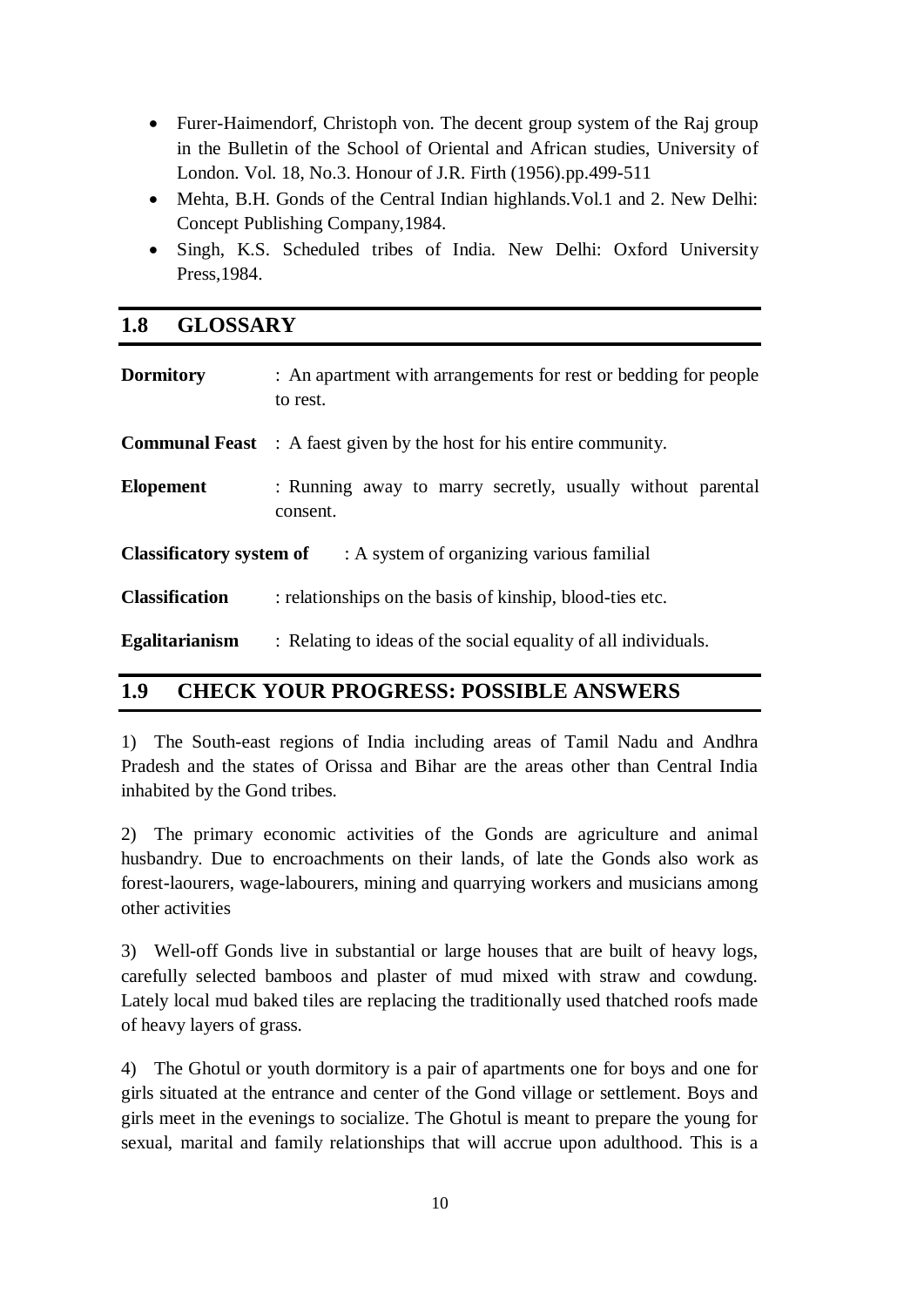#### **Case study: the Iranis**

The Iranis are a small tribe of trader wanderers who keep to towns and cities where they sell cutlery, mirrors, scents, beads, and many kinds of fancy articles. Like similar nomads, they camp outside towns, or near railway stations, parks or open public spaces to vend their wares which are small and also cheap. They are fond of bright colors as all North-Western Indians are, they wear multifold short skirts, which keep rhythmically dancing on their hips, wear nose, ear and ankle ornaments plentifully. Being in every sense the better halves, they dominate their men-folk and take the lead in professional and domestic matters. The Iranis know more than one language. They are highly conservative in their social dealings; they do not marry outside their limited circles. The Iranis keep dogs and other animals as pets and even trade in them. They carry their belonging on small ponies or mules which they use as mounts also for the old and the infirm. (V. Raghaviah. 1968. Nomads. pp.179-180).

#### **Case study: the Kalbelias**

Kalbelias are a wandering tribe of snake-charmers found all over India. They are known as Pamulas in Andhra Pradesh. They belong to the profession of performers, an institution of moving zoos, organized in this country centuries back. They move about the countryside exhibiting the animals and collecting some fees in kind for the show, on the lines of an itinerant circus through on a far smaller scale. The Kalbelias and the Pamulas make their living by taming the king cobra and showing the same around. They are also experts in catching poisonous serpents and extracting poison from their fangs, which they sell to medical practitioners for medicinal use. The Kalbelias move about in small groups of twenty to thirty and stay in each camp for a fortnight and move in small portable huts, with small reed-roofs slanting on either side being barely of three to four feet height in the central position. As a side profession they also collect rags and used paper which they sell to merchants for converting the same into good paper again. (V. Raghaviah. 1968.pp.180-182)

It is not uncommon that the very snakes which are tamed sometimes bite the charmers and cause their death.

#### **3.4.4 Mendicant nomads**

These nomads live by collecting alms and begging. Some of the mendicant tribes of India are; the Gulgulias, the Dommaras, the Singiwalas, the Karwals, the Jogis, the Munduputtas and Kelas, Pamulas, Kakmaras etc. Examples of mendicant nomads are given below:

#### **Case study: the Bynollu**

The Bynollus are vagrant and carry stringed black cylindrical drums thoroughly exposed on one side and a sheet of thin leather covering at the other end with a wire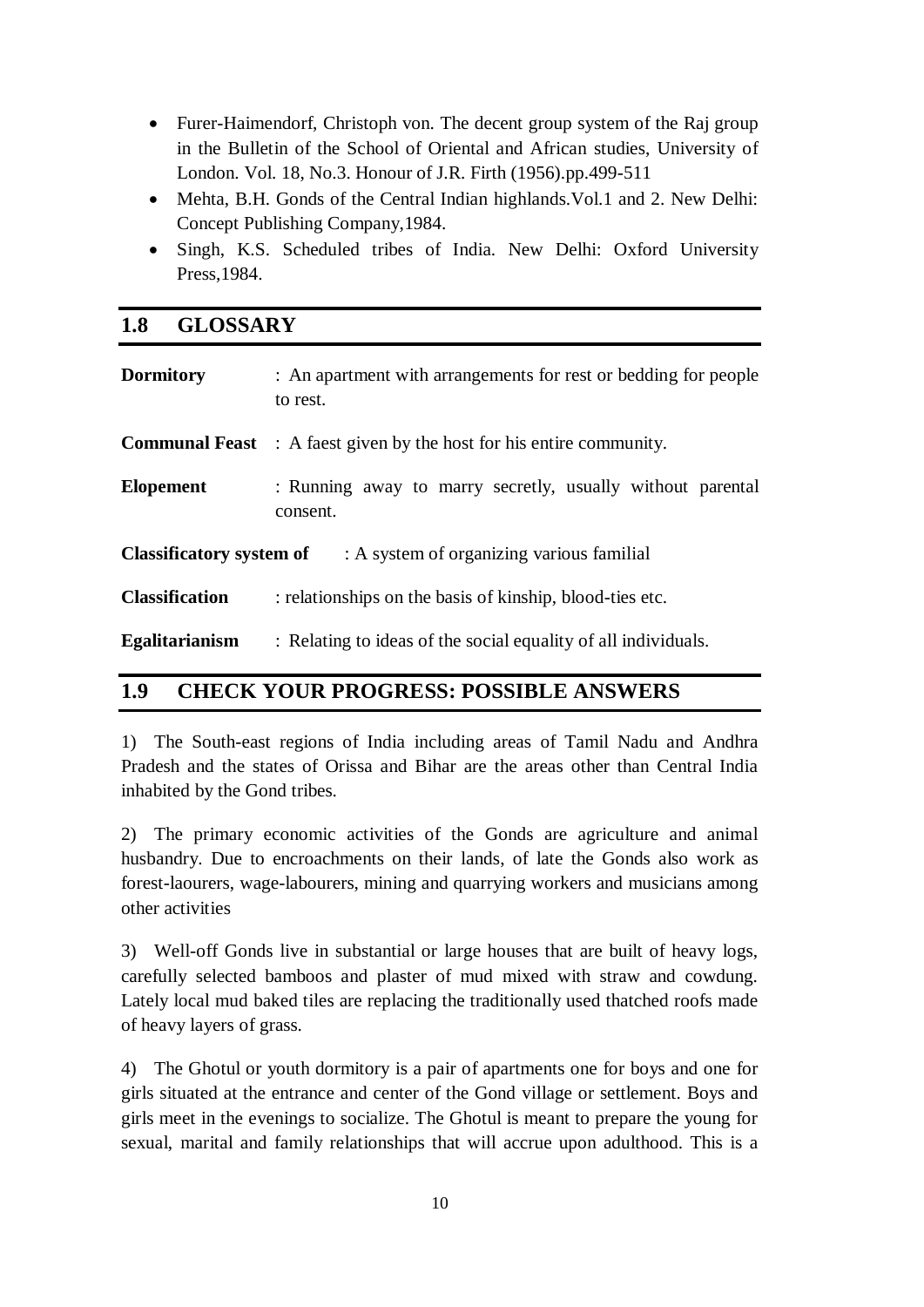mounted upon it and also consisting of a number of bells fitted inside which can produce a jingling musical sound. With his right hand, the musician beats the hollow drum producing the effect of a thud, another keeps the chorus by playing upon the wire drum fitted with a single string. They entertain villagers by singing praises of Gods and Goddesses and their miracles. All able bodied Bynollu, are in great demand on occasions when village Gods are worshiped, as they sing the praises of Gods and can narrate "Ellamma katha" and other ballads. They are the priests for Madigas. They are found in Kurnool and Anantapur districts of Andhra Pradesh. (V. Raghaviah. 1968. Nomads. pp.247)

#### **Case study: the Dommaras**

The Dommaras are itinerant performers of acrobatic feats with which they entertain villagers and get compensated by doles of grains, cast off clothing as well as money grants. Their numbers are small and they must have originally migrated from Orissa. They are a nomadic tribe found all over the state rearing pigs and carrying all their worldly possessions, on donkeys. Their standard of cleanliness is low; though on that account they do not cease to be hardy and sturdy. They camp in portable huts, often choosing lonely spots on the outskirts of a village for camping places.

Edgar Thurston describes the Dommaras as a nomadic tribe of athletes and jugglers, exhibiting their feats as they wander about the country. A few of them have settled down as agricultural laborers dwelling on the outskirts of the villages in tiny huts or "guidiseys", made of bamboos and plaited palm leaves. In social position they rank just above the Harijans. They rear pigs and make combs out of the wood. M.A. Stuart observes that "in the matter of food, the Dommaras eat all sorts of animals including cats, crows, squirrels, snakes and mongooses". (V. Raghaviah. 1968. Nomads. pp.234-236).

#### **Case study: the Kakmaras**

The Kakmaras are a nomadic tribe of West Bengal. They correspond to the Bandas of Andhra Pradesh. Though the Telugu Bandas migrated to Bengal more than 200 years ago on account of their poverty, they still speak Telugu at home and are able to converse in Bengali. They are mainly a beggar community and get their name on account of their fondness for the crow flesh as is the case with the Bandas of Andhra Pradesh. The crow is a forbidden bird and unfit for the table for almost all Indians except very few tribes like the Kakmaras.The Kakmaras were classified in the census report of 1951 as "Madrasis". They camp during their wanderings sometimes under the trees, near market places, near fairs or in open places.

It is difficult to describe the reason of migration of the Kakmaras. It might be due to poverty or recurring famines. They move in batches of 2 to 3 families and keep roaming for the major part of the year. Some times they return to some sort of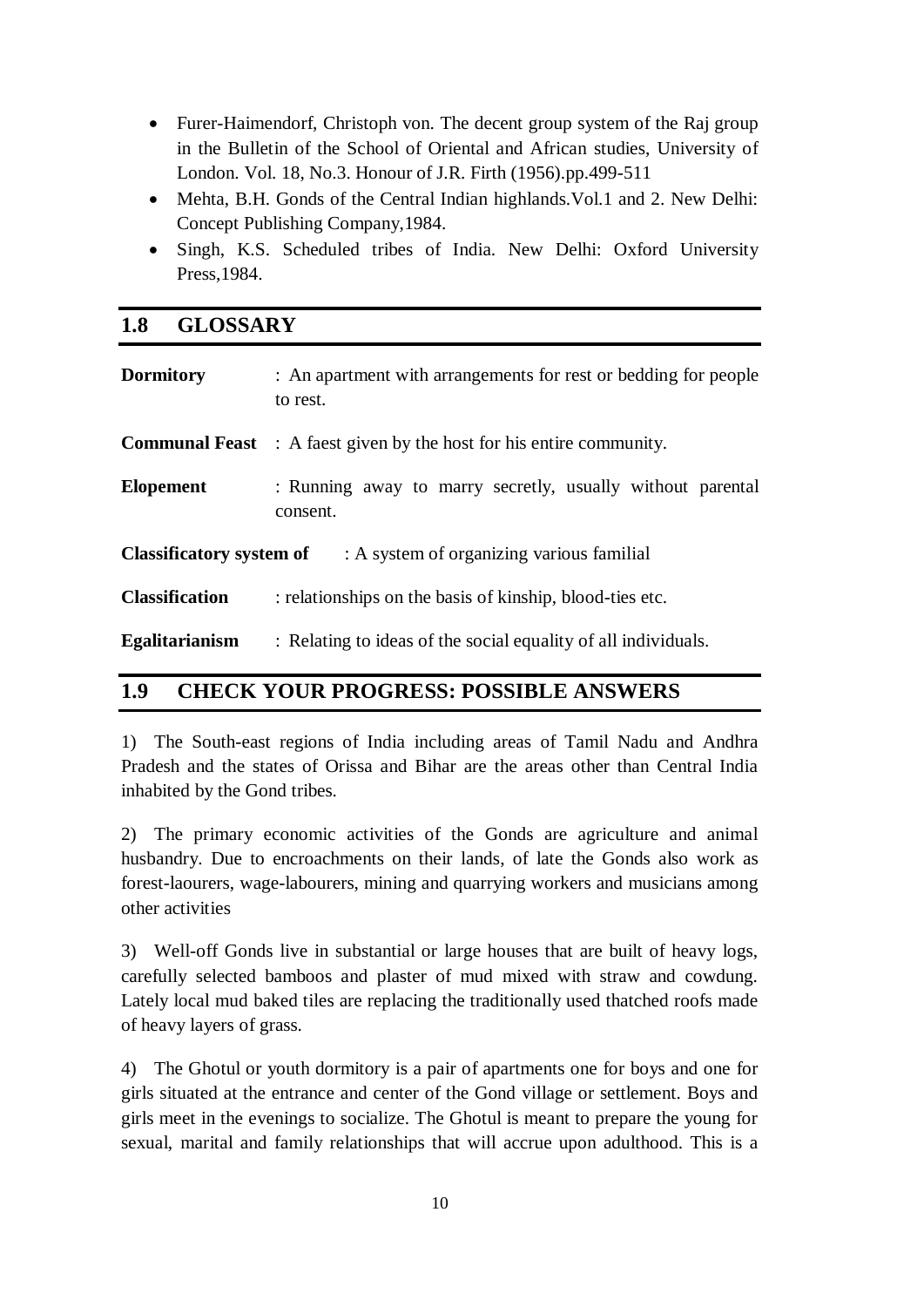temporary habitation they keep in certain villages, though they do not have much attachment to them.

P.K. Bhowmick, made a close study of this small tribe, the population of which is below 300. They settle down for 10 to 30 days at a stretch and after exhausting chances of begging in the surrounding areas move to another place. When they go to any particular place, they keep their scanty belongings in the cavities of big trees or keep them hanging from the branches in the trees and move about within a radius of 3 to 4 miles for carrying on their only profession i.e. begging. They are mostly found in Contai, Taviluk and in parts of Sadar sub-division of Midnapur; and a few of them in the districts of Balasur and Puri in Orissa. Bhomick observed that "the Kakmaras men dress themselves in a peculiar fashion with vermilion marks on the forehead and a colored head gear or crown is worn by them. They wear an iron bangle around the right wrist and carry a sharp knife without handle for use as well as for defense. They have bags made of palm leaf mats and spears for killing or catching birds. Dogs are trained and employed to keep watch on their bedding or other domestic kits hung on a tree. Women generally move about with the children carrying infants tied to their back with a piece of cloth. To get more alms, they recite loudly the name of God in melodious tone "Govinda" every time they approach a prospective giver. They have the dirty habit of spitting frequently and thus they soil the place they visit. Sometimes they make a gash on their bodies from which blood is allowed to flow. In this way they try to draw sympathy, more rice, vegetables, and torn clothes from people of charitable disposition in the village.

The Kakmaras keep very few domestic utensils, one or two iron or aluminum pots for cooking and a few earthen pots. They sleep on date-leaf mats and eat mongooses, otters, tiger-rats, crows etc. The Kakmaras employ a curious method to snare crows. The feathers of a dead crow are cleverly manipulated and tied to a pole which draws the attention of the crows which have a very communal sympathy for their fellow beings. As the crows come closer they are caught by a net. The Kakmaras worship Hindu goddess Kali, Sitala or Manasa, and sacrifice goat and fowls to propitiate their goddess. (V. Raghaviah. 1968. pp.248-252).

#### **Check your progress 2**

Note: 1) Your answers should be about 30 words each;

- 2) You can check your answers with possible answers given at the end of the Unit.
- 3) Who are the food gathering nomads? Give an example.

.................................................................................................................................... .................................................................................................................................... .................................................................................................................................... .................................................................................................................................... ....................................................................................................................................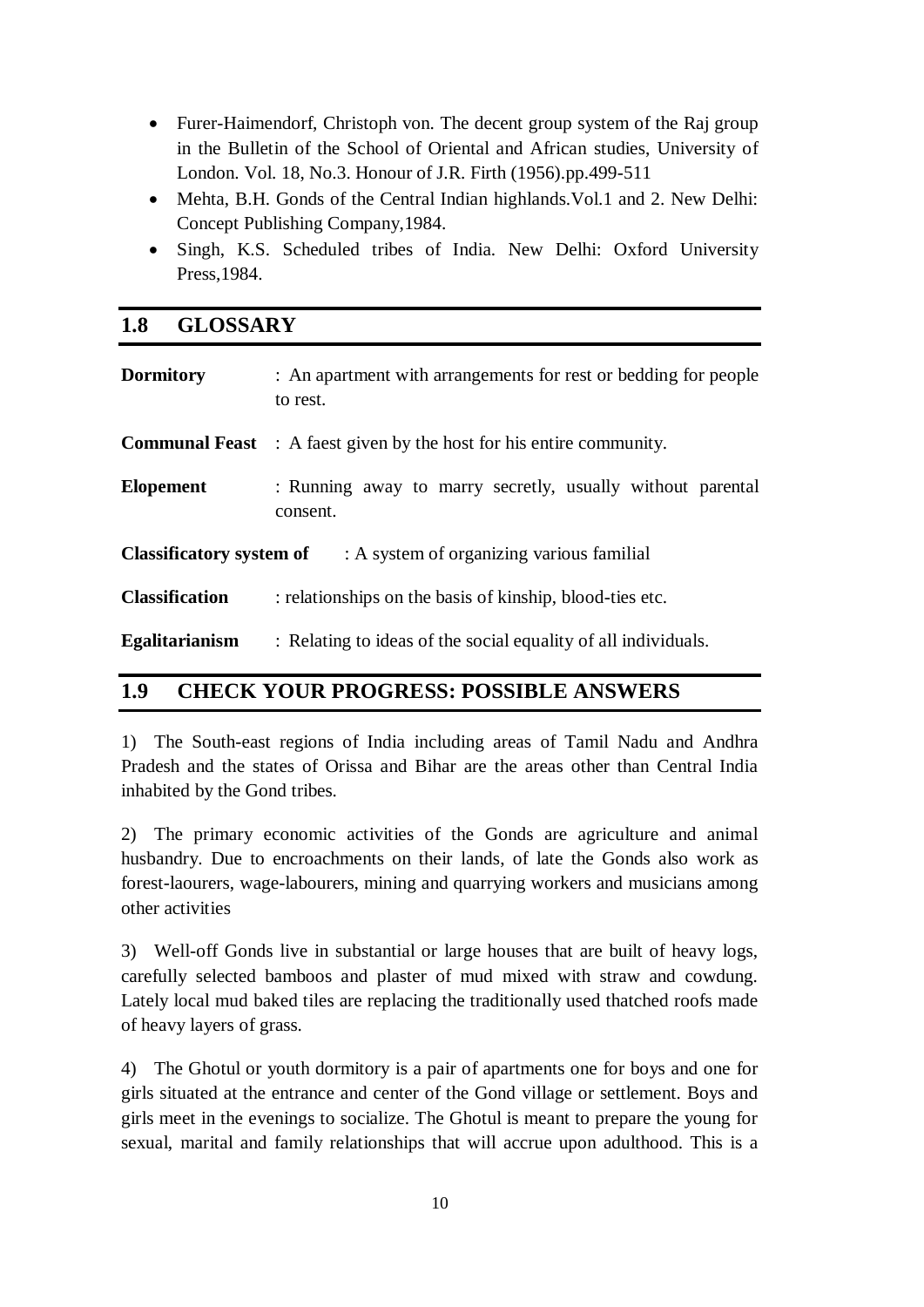4) Describe about mendicant nomads with an example from the above mentioned writings.

.................................................................................................................................... .................................................................................................................................... .................................................................................................................................... .................................................................................................................................... ....................................................................................................................................

# **3.5 CASE STUDY: BANJARA TRIBE**

The Banjara belong to nomadic tribal group. They are also known as Lamani, Lambada and Lambhani. The word "Lambani" derived from Sanskrit word lavana (salt), which they mainly transported and marketed along with other goods until the end of the 19th century. The generic name "Banjara" is derived from the Sanskrit word vanachara or " wanderers in forest". They left there original occupation after the introduction of railways and roads transports by the British and adopted various skills for livelihood. In India there are a total of 36 nomadic and semi-nomadic tribal groups. They all claim to be from Rajput community. Many accounts suggest that the Lambanis are originally from Marwar region of Rajasthan.

The Lambani are spread mostly in Northern and Southern regions of India, a large number of their communities are settled in the state of Karnataka (South India). They are found in the Dharwad, Bijapur and Gulbarga districts of Karnataka. They speak Banjari dialect within their community. The Lambani have both nuclear and joint family. Property is divided equally among the sons; the younger son is required by customs to take care of the old parents and given extra property rights, for example if there is only one house, it is given to the younger son. The Lambani cremate their dead. On the 13th day of the death, a feast is given to all the relatives.

Most of the Lambani work as agricultural labourers. Because very small number of Lambani families possesses own land. Apart from that, they also work as wage labour in various fields such as factories, roads, making tools or collects forest products etc.

The Lambani women have equal role in the management of the family and contribution to the family income. They do the day to day households work like cooking, cleaning, fetching water, collecting firewood from the forest etc. They are known for their colourful heavily embroidered work, studded with small mirrors and cowries (sea shells). The Lambani women have distinctive costume; they wear multicoloured heavily embroidered costume with ornamented hairstyle and silver jewellery.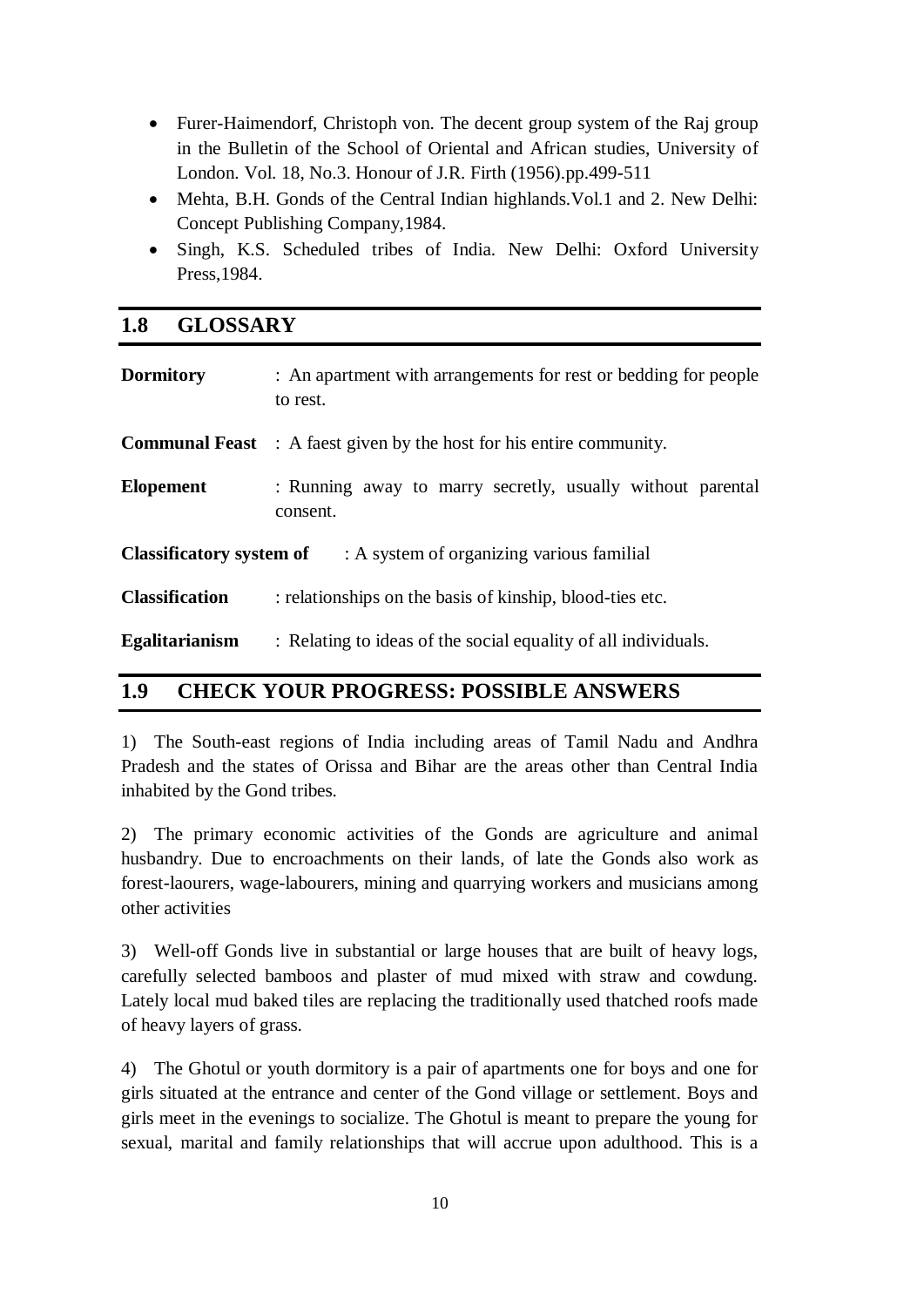The Lambani celebrates number of festival which is closely associated with their traditional customs and rituals. Birth of a child (specially boy) is celebrated with drum-beats and considered to be a happy occasion, they distribute food and gifts among relatives. Later a number of ceremonies like dhond (community feast), Kalperu (thank giving) to the deity etc., are observed after child birth. Puberty rituals are observed for the young girls. Other than these, they celebrates major Hindu festivals such as Ugadi, Dussehra, Deepavali etc. (K.S.Singh. (ed). 2003. People of India: Karnataka. pp. 880-887).

### **3.5.1 Origin and myths**

The Lambani believe the origin of the earth to Jambava and his two sons Heppumuni and Rudra or Raktamuni. Form the seed of the creator a beautiful girl was born, later she created a boy out of the sweat of her body. Then she desired to consort with him, but her offer was rejected. Again she created another boy for the similar purpose and her wish was fulfilled. Later they became progenitors of the human race, their descendants were given various names one of them are Dhaj. Later Dhaj had a son Kowdhaj and his son was Karan. Karan's son was Kachchap, and he had two sons Thida and Chada. The descendants of Chada are the settles tribes of towns and villages. While the descendant of Thida are the wandering tribes " Banjara". Thida had five sons: (1) Nathad; his descendant was Vagris like Shikaris, (2) Joghad; his descendant was the wandering Joghis, who rear pigs, (3) Khimad; who is the ancestor of the wandering blacksmiths like Bailukammaras, (4) Mota; who has given rise to the Labhans, and (5) Mola; who is the ancestor of the Banjaras.

According to another account Thida was a descendant of Sugriva (from the epic Ramayan) and Tara (his wife). Thida's son Mola was an attendant of Krishna, who was supposed to be in love with Radha. Mola earn goodwill by his patient service to Radha and both adopted the profession of dancer and acrobats. They exhibited their skill before the princes of Dhanjighad, Banoghad and Jagatghad. They got their three boys as a reward and they are Rathod, Pamhar and Chovhan. Later they became the progenitors of the clans which still bear their names. The descendant of these three boys were the Banjara (H.V. Nanjundayya and L.K Ananthakrishna Iyer. 1928. The Mysore tribes and Castes. Vol.II. pp.136-139)

### **3.6 LET US SUM UP**

In the above mentioned article, we tried to appreciate and understand Nomadism with some definitions and descriptions. But other than that, there are several categories of nomads living at varying stages of Nomadism with their wandering habits in all over the world. Nomadism can be simply described as a wandering habit, pursued by a group or groups of people, who practice the same. It may also be assumed that, Nomadism is a cultural trait which results from want of ambition or aspiration, either total or partial. The degree of the occurrence of ambition can be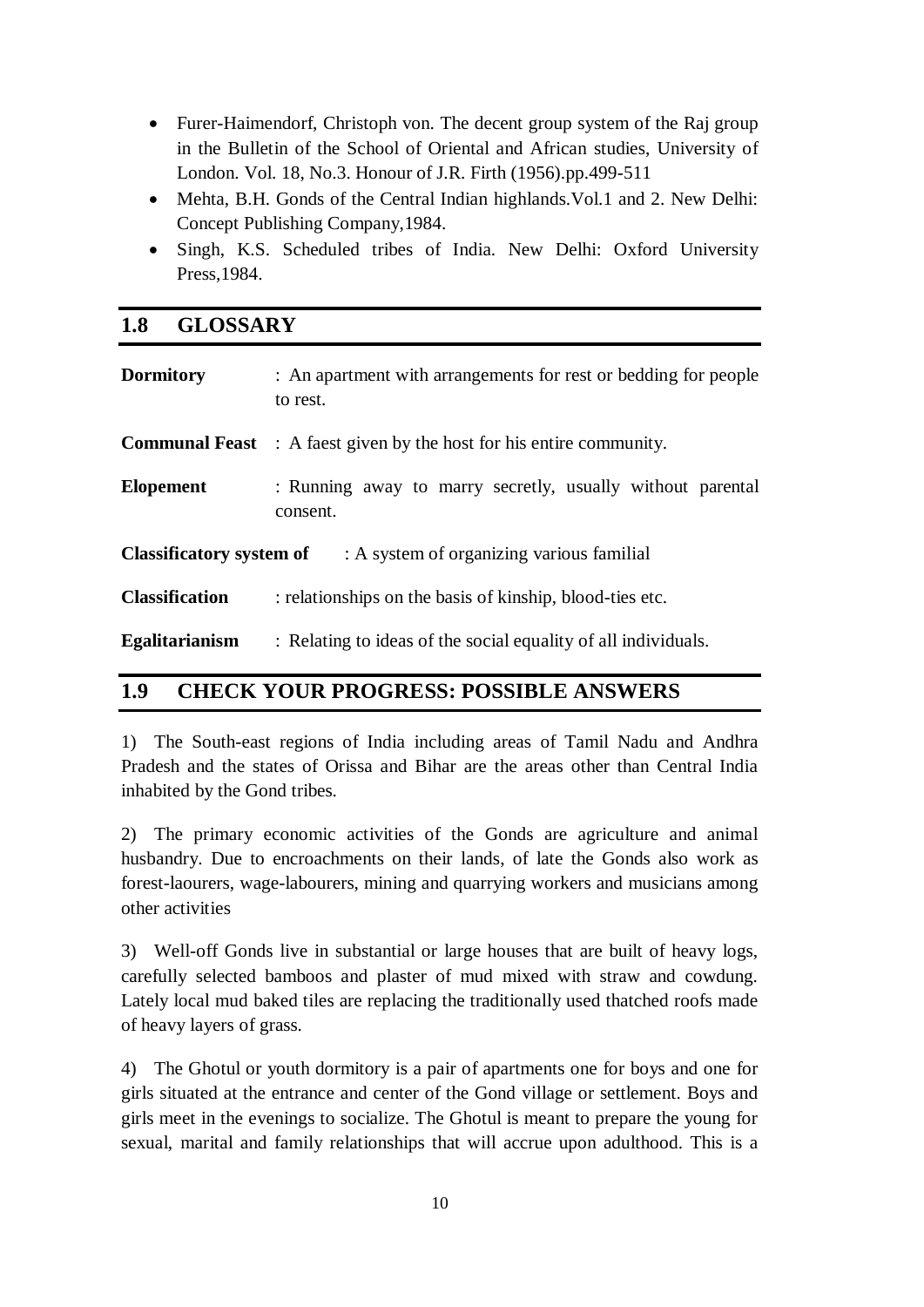considered to be the criterion for determining the stage of Nomadism through which a particular tribe is passing. Nomadism might have been forced wholesale upon larger groups of people, sometimes even whole tribes, by natural calamities, earthquakes, floods, invasions, expropriation and other acts of God and man, resulting in large scale migration from a previously settled life, centuries ago.

#### **Check your progress 3**

Note: 1) Your answers should be about 30 words each;

- 2) You can check your answers with possible answers given at the end of the Unit.
- 5) Write about origin and myth of Banjara tribe?

.................................................................................................................................... .................................................................................................................................... .................................................................................................................................... .................................................................................................................................... ....................................................................................................................................

# **3.7 ACTIVITY**

We have together, above, discussed about Nomads. Do you think that now you know different types Nomads and their culture? Try to discuss about Nomadic tribe by explaining it to another friend of yours and see how well you have understood it.

### **3.8 REFERENCES AND FURTHER READINGS**

- Iyar Ananthakrishna, L.K. and Nanjundayya, H.V. The Mysore tribes and castes. Vol-II. The Mysore University press. 1928.
- Raghaviah, V. Nomads. Bharatiya Adimajati Sevak Sangh. 1968.
- Singh, K.S. The scheduled tribes. New Delhi: Oxford University Press. 1994.
- Singh, K.S.(ed).People of India: Karnataka. Vol.XXXVI, Part two. Anthropological Survey of India. New Delhi. 2003.
- Shashi, S.S. The Nomads of the Himalayas. Delhi: Sandeep Prakashan. 1979

| <b>Dals</b>    | $\ddot{\cdot}$ | groups            |
|----------------|----------------|-------------------|
| <b>Mukhyas</b> | $\ddot{\cdot}$ | head of the group |
| Khanabadosh    | $\ddot{\cdot}$ | wandering tribes  |
| <b>Ellamma</b> | $\ddot{\cdot}$ | mother goddess    |

### **3.9 GLOSSARY**